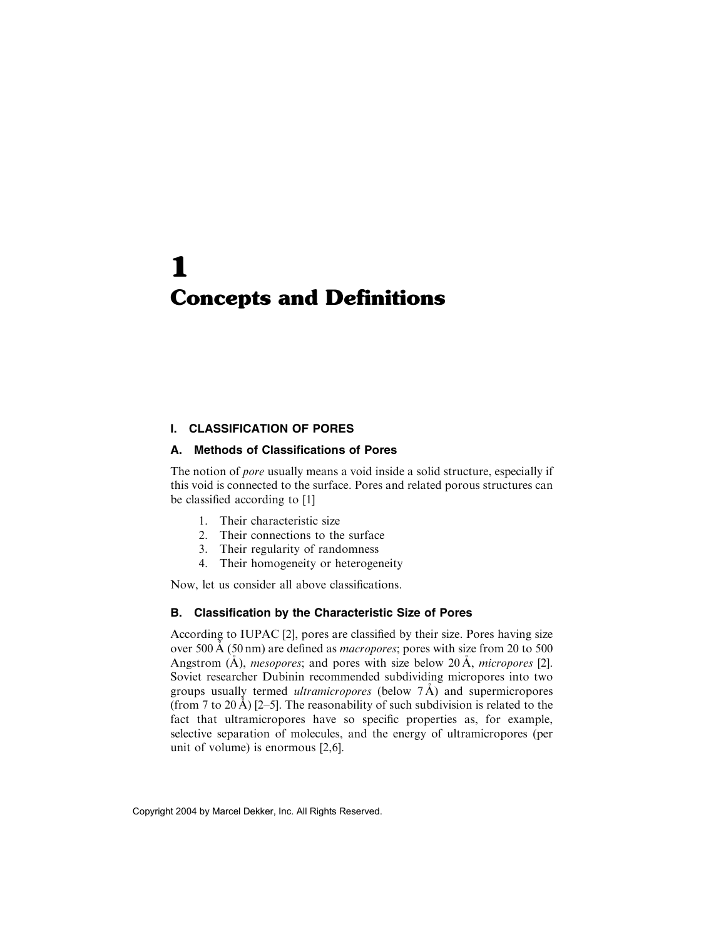# <span id="page-0-0"></span>1 Concepts and Definitions

# I. CLASSIFICATION OF PORES

## A. Methods of Classifications of Pores

The notion of *pore* usually means a void inside a solid structure, especially if this void is connected to the surface. Pores and related porous structures can be classified according to [1]

- 1. Their characteristic size
- 2. Their connections to the surface
- 3. Their regularity of randomness
- 4. Their homogeneity or heterogeneity

Now, let us consider all above classifications.

# B. Classification by the Characteristic Size of Pores

According to IUPAC [2], pores are classified by their size. Pores having size over 500  $\AA$  (50 nm) are defined as *macropores*; pores with size from 20 to 500 Angstrom  $(A)$ , *mesopores*; and pores with size below 20 A, *micropores* [2]. Soviet researcher Dubinin recommended subdividing micropores into two groups usually termed *ultramicropores* (below  $7\text{Å}$ ) and supermicropores (from 7 to 20 Å) [2–5]. The reasonability of such subdivision is related to the fact that ultramicropores have so specific properties as, for example, selective separation of molecules, and the energy of ultramicropores (per unit of volume) is enormous [2,6].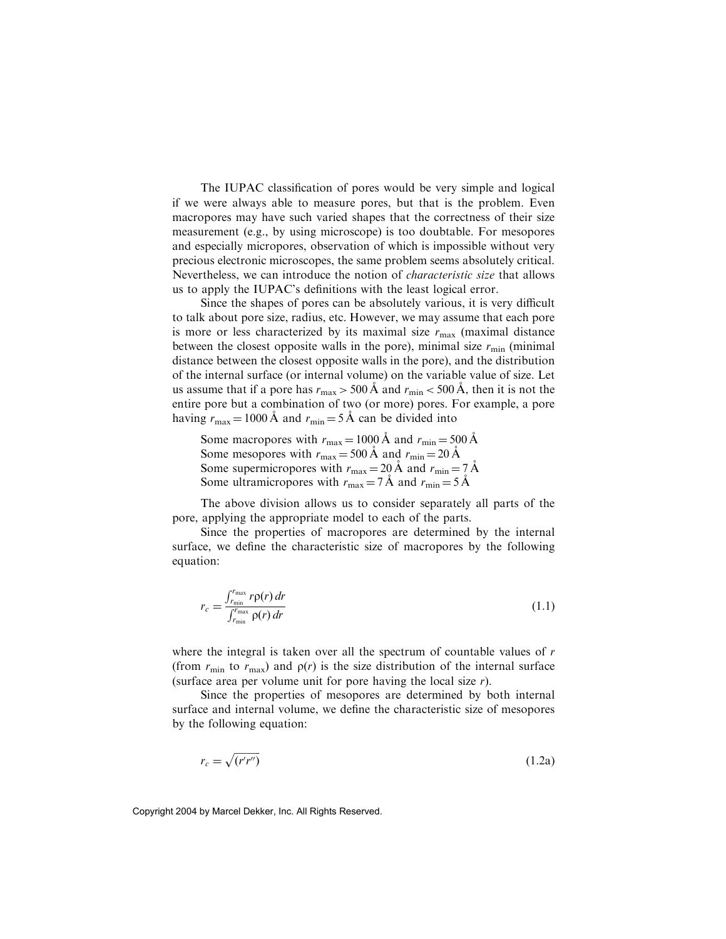The IUPAC classification of pores would be very simple and logical if we were always able to measure pores, but that is the problem. Even macropores may have such varied shapes that the correctness of their size measurement (e.g., by using microscope) is too doubtable. For mesopores and especially micropores, observation of which is impossible without very precious electronic microscopes, the same problem seems absolutely critical. Nevertheless, we can introduce the notion of characteristic size that allows us to apply the IUPAC's definitions with the least logical error.

Since the shapes of pores can be absolutely various, it is very difficult to talk about pore size, radius, etc. However, we may assume that each pore is more or less characterized by its maximal size  $r_{\text{max}}$  (maximal distance between the closest opposite walls in the pore), minimal size  $r_{\text{min}}$  (minimal distance between the closest opposite walls in the pore), and the distribution of the internal surface (or internal volume) on the variable value of size. Let us assume that if a pore has  $r_{\text{max}} > 500 \text{ Å}$  and  $r_{\text{min}} < 500 \text{ Å}$ , then it is not the entire pore but a combination of two (or more) pores. For example, a pore having  $r_{\text{max}} = 1000 \text{ Å}$  and  $r_{\text{min}} = 5 \text{ Å}$  can be divided into

Some macropores with  $r_{\text{max}} = 1000 \text{ Å}$  and  $r_{\text{min}} = 500 \text{ Å}$ Some mesopores with  $r_{\text{max}} = 500 \text{ Å}$  and  $r_{\text{min}} = 20 \text{ Å}$ Some supermicropores with  $r_{\text{max}} = 20 \text{ Å}$  and  $r_{\text{min}} = 7 \text{ Å}$ Some ultramicropores with  $r_{\text{max}} = 7 \text{ Å}$  and  $r_{\text{min}} = 5 \text{ Å}$ 

The above division allows us to consider separately all parts of the pore, applying the appropriate model to each of the parts.

Since the properties of macropores are determined by the internal surface, we define the characteristic size of macropores by the following equation:

$$
r_c = \frac{\int_{r_{\text{min}}}^{r_{\text{max}}} r \rho(r) dr}{\int_{r_{\text{min}}}^{r_{\text{max}}} \rho(r) dr}
$$
 (1.1)

where the integral is taken over all the spectrum of countable values of  $r$ (from  $r_{\text{min}}$  to  $r_{\text{max}}$ ) and  $\rho(r)$  is the size distribution of the internal surface (surface area per volume unit for pore having the local size  $r$ ).

Since the properties of mesopores are determined by both internal surface and internal volume, we define the characteristic size of mesopores by the following equation:

$$
r_c = \sqrt{(r'r'')} \tag{1.2a}
$$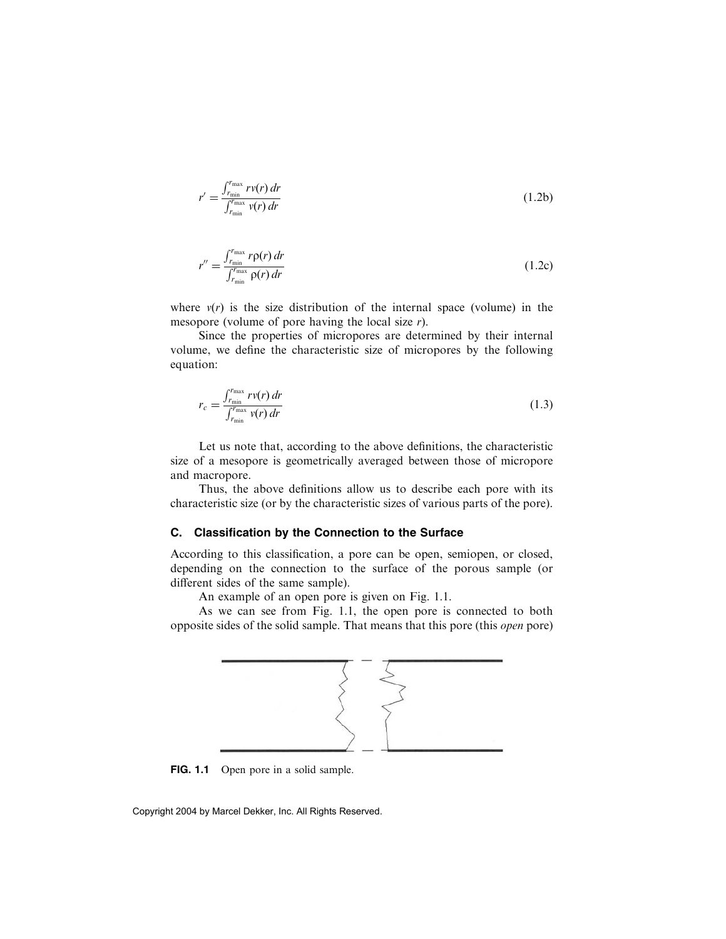$$
r' = \frac{\int_{r_{\min}}^{r_{\max}} r v(r) dr}{\int_{r_{\min}}^{r_{\max}} v(r) dr}
$$
\n(1.2b)

$$
r'' = \frac{\int_{r_{\min}}^{r_{\max}} r\rho(r) dr}{\int_{r_{\min}}^{r_{\max}} \rho(r) dr}
$$
 (1.2c)

where  $v(r)$  is the size distribution of the internal space (volume) in the mesopore (volume of pore having the local size r).

Since the properties of micropores are determined by their internal volume, we define the characteristic size of micropores by the following equation:

$$
r_c = \frac{\int_{r_{\text{min}}}^{r_{\text{max}}} r v(r) dr}{\int_{r_{\text{min}}}^{r_{\text{max}}} v(r) dr}
$$
 (1.3)

Let us note that, according to the above definitions, the characteristic size of a mesopore is geometrically averaged between those of micropore and macropore.

Thus, the above definitions allow us to describe each pore with its characteristic size (or by the characteristic sizes of various parts of the pore).

#### C. Classification by the Connection to the Surface

According to this classification, a pore can be open, semiopen, or closed, depending on the connection to the surface of the porous sample (or different sides of the same sample).

An example of an open pore is given on Fig. 1.1.

As we can see from Fig. 1.1, the open pore is connected to both opposite sides of the solid sample. That means that this pore (this open pore)



FIG. 1.1 Open pore in a solid sample.

Copyright 2004 by Marcel Dekker, Inc. All Rights Reserved.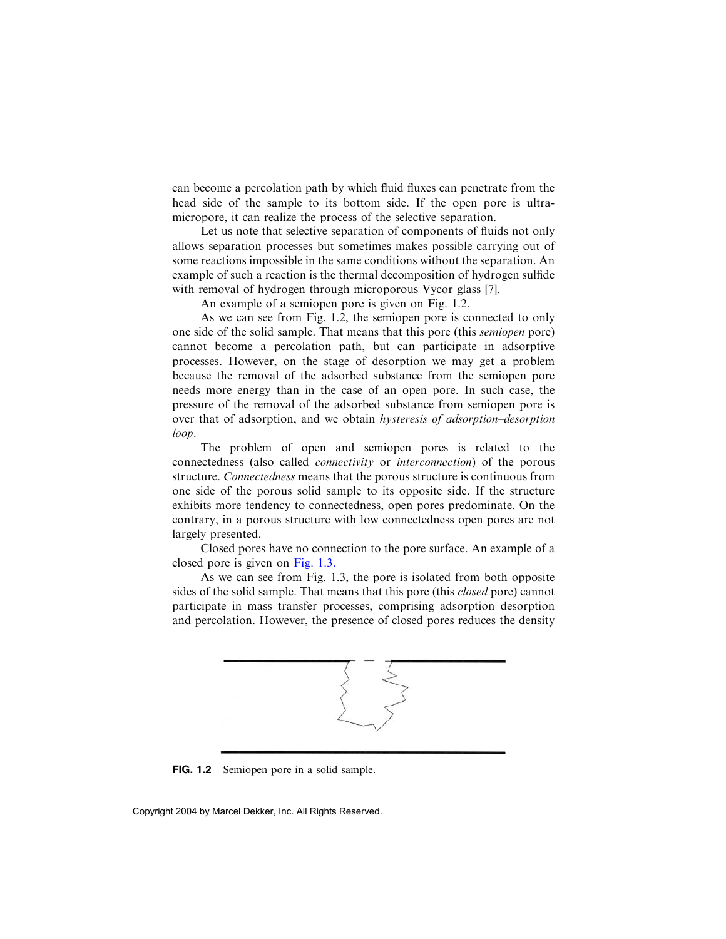<span id="page-3-0"></span>can become a percolation path by which fluid fluxes can penetrate from the head side of the sample to its bottom side. If the open pore is ultramicropore, it can realize the process of the selective separation.

Let us note that selective separation of components of fluids not only allows separation processes but sometimes makes possible carrying out of some reactions impossible in the same conditions without the separation. An example of such a reaction is the thermal decomposition of hydrogen sulfide with removal of hydrogen through microporous Vycor glass [7].

An example of a semiopen pore is given on Fig. 1.2.

As we can see from Fig. 1.2, the semiopen pore is connected to only one side of the solid sample. That means that this pore (this semiopen pore) cannot become a percolation path, but can participate in adsorptive processes. However, on the stage of desorption we may get a problem because the removal of the adsorbed substance from the semiopen pore needs more energy than in the case of an open pore. In such case, the pressure of the removal of the adsorbed substance from semiopen pore is over that of adsorption, and we obtain hysteresis of adsorption–desorption loop.

The problem of open and semiopen pores is related to the connectedness (also called connectivity or interconnection) of the porous structure. Connectedness means that the porous structure is continuous from one side of the porous solid sample to its opposite side. If the structure exhibits more tendency to connectedness, open pores predominate. On the contrary, in a porous structure with low connectedness open pores are not largely presented.

Closed pores have no connection to the pore surface. An example of a closed pore is given on [Fig. 1.3.](#page-4-0)

As we can see from Fig. 1.3, the pore is isolated from both opposite sides of the solid sample. That means that this pore (this *closed* pore) cannot participate in mass transfer processes, comprising adsorption–desorption and percolation. However, the presence of closed pores reduces the density



FIG. 1.2 Semiopen pore in a solid sample.

Copyright 2004 by Marcel Dekker, Inc. All Rights Reserved.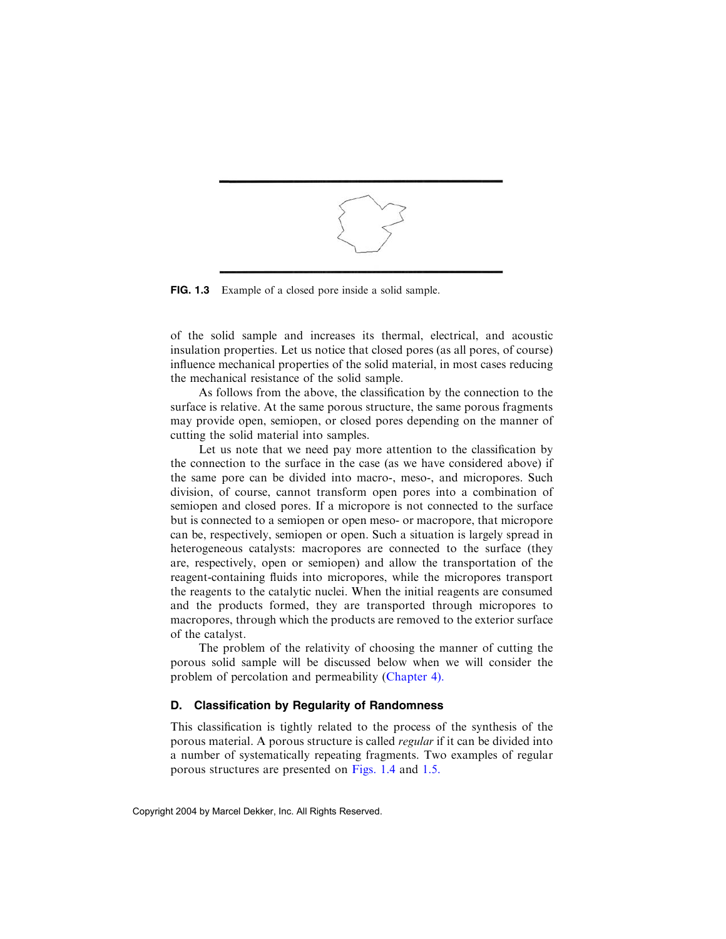<span id="page-4-0"></span>

FIG. 1.3 Example of a closed pore inside a solid sample.

of the solid sample and increases its thermal, electrical, and acoustic insulation properties. Let us notice that closed pores (as all pores, of course) influence mechanical properties of the solid material, in most cases reducing the mechanical resistance of the solid sample.

As follows from the above, the classification by the connection to the surface is relative. At the same porous structure, the same porous fragments may provide open, semiopen, or closed pores depending on the manner of cutting the solid material into samples.

Let us note that we need pay more attention to the classification by the connection to the surface in the case (as we have considered above) if the same pore can be divided into macro-, meso-, and micropores. Such division, of course, cannot transform open pores into a combination of semiopen and closed pores. If a micropore is not connected to the surface but is connected to a semiopen or open meso- or macropore, that micropore can be, respectively, semiopen or open. Such a situation is largely spread in heterogeneous catalysts: macropores are connected to the surface (they are, respectively, open or semiopen) and allow the transportation of the reagent-containing fluids into micropores, while the micropores transport the reagents to the catalytic nuclei. When the initial reagents are consumed and the products formed, they are transported through micropores to macropores, through which the products are removed to the exterior surface of the catalyst.

The problem of the relativity of choosing the manner of cutting the porous solid sample will be discussed below when we will consider the problem of percolation and permeability [\(Chapter 4\)](#page-0-0).

## D. Classification by Regularity of Randomness

This classification is tightly related to the process of the synthesis of the porous material. A porous structure is called regular if it can be divided into a number of systematically repeating fragments. Two examples of regular porous structures are presented on [Figs. 1.4](#page-5-0) and [1.5.](#page-5-0)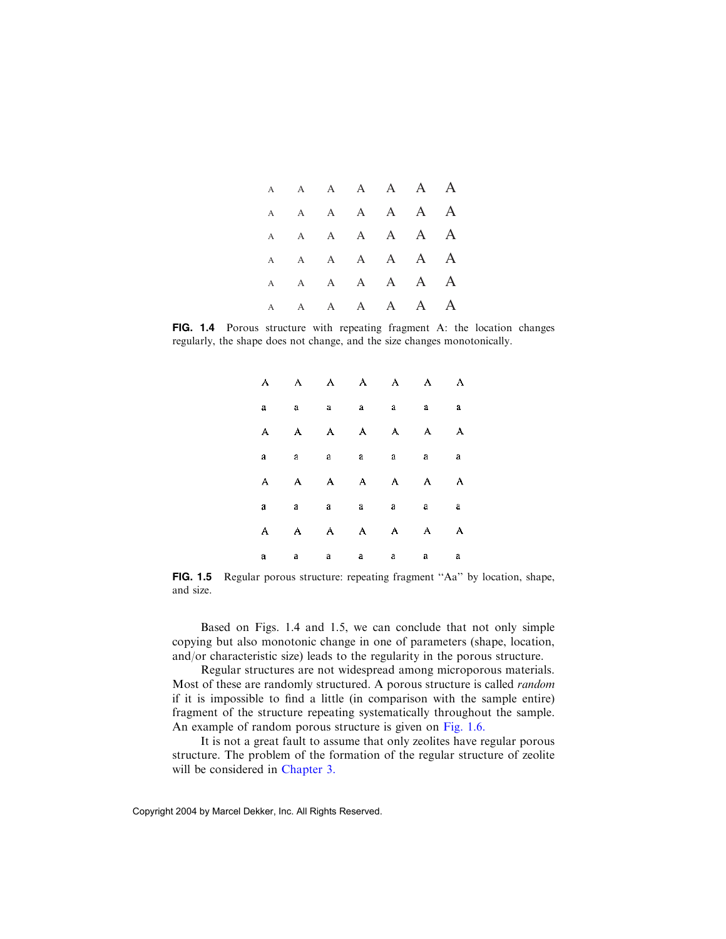<span id="page-5-0"></span>

|  | A A A A A A A |  |  |
|--|---------------|--|--|
|  | A A A A A A A |  |  |
|  | A A A A A A A |  |  |
|  | A A A A A A A |  |  |
|  | A A A A A A A |  |  |
|  | A A A A A A A |  |  |

FIG. 1.4 Porous structure with repeating fragment A: the location changes regularly, the shape does not change, and the size changes monotonically.

| А | А | A.          | А | A. | А | Α |
|---|---|-------------|---|----|---|---|
| a | a | $\mathbf a$ | a | a  | a | a |
| А | А | A           | A | А  | А | А |
| a | a | a           | a | a  | a | a |
| А | А | A           | A | ٨  | ٨ | Α |
| a | a | â           | a | a  | a | a |
| А | А | A           | A | А  | А | А |
| a | a | a           | a | a  | a | a |

FIG. 1.5 Regular porous structure: repeating fragment ''Aa'' by location, shape, and size.

Based on Figs. 1.4 and 1.5, we can conclude that not only simple copying but also monotonic change in one of parameters (shape, location, and/or characteristic size) leads to the regularity in the porous structure.

Regular structures are not widespread among microporous materials. Most of these are randomly structured. A porous structure is called random if it is impossible to find a little (in comparison with the sample entire) fragment of the structure repeating systematically throughout the sample. An example of random porous structure is given on [Fig. 1.6.](#page-6-0)

It is not a great fault to assume that only zeolites have regular porous structure. The problem of the formation of the regular structure of zeolite will be considered in [Chapter 3.](#page-0-0)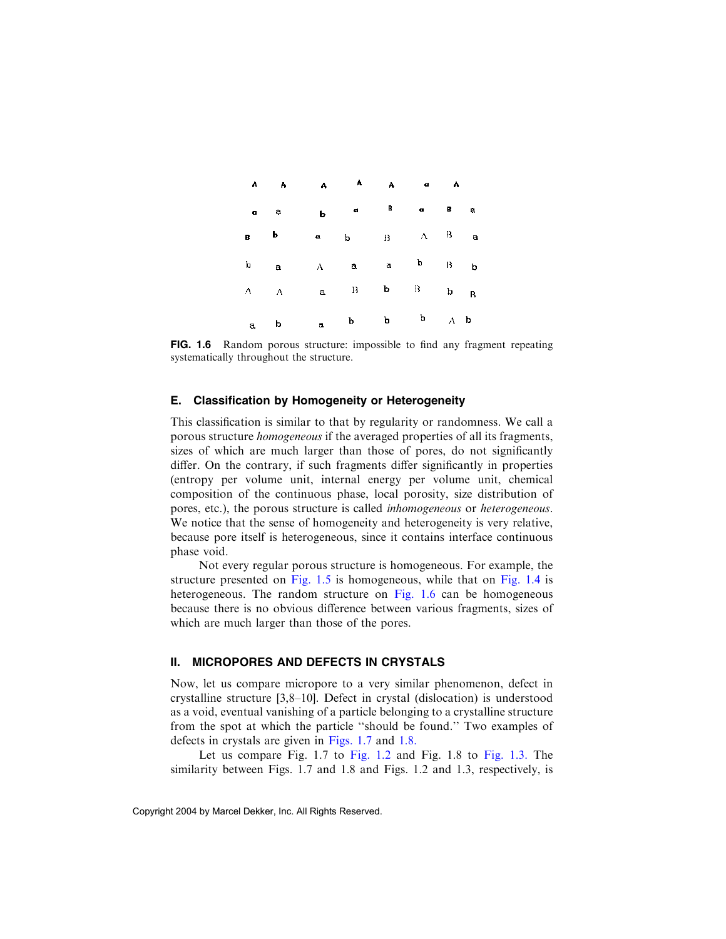<span id="page-6-0"></span>

|                            |            | $A \qquad A \qquad A \qquad A \qquad A \qquad a \qquad A$   |  |  |                |
|----------------------------|------------|-------------------------------------------------------------|--|--|----------------|
|                            | $\alpha$ a | ba Ba Ba                                                    |  |  |                |
| $B$ b                      |            | $\bullet$ b B $A$ B a                                       |  |  |                |
|                            |            | $\mathbf{b}$ a $\mathbf{A}$ a a $\mathbf{b}$ B $\mathbf{b}$ |  |  |                |
| $\mathbf{A} = -\mathbf{A}$ |            | $\mathbf{a}$ B $\mathbf{b}$ B $\mathbf{b}$                  |  |  | $\overline{B}$ |
|                            |            | $a$ b a b b $b$ A b                                         |  |  |                |

FIG. 1.6 Random porous structure: impossible to find any fragment repeating systematically throughout the structure.

#### E. Classification by Homogeneity or Heterogeneity

This classification is similar to that by regularity or randomness. We call a porous structure homogeneous if the averaged properties of all its fragments, sizes of which are much larger than those of pores, do not significantly differ. On the contrary, if such fragments differ significantly in properties (entropy per volume unit, internal energy per volume unit, chemical composition of the continuous phase, local porosity, size distribution of pores, etc.), the porous structure is called inhomogeneous or heterogeneous. We notice that the sense of homogeneity and heterogeneity is very relative, because pore itself is heterogeneous, since it contains interface continuous phase void.

Not every regular porous structure is homogeneous. For example, the structure presented on [Fig. 1.5](#page-5-0) is homogeneous, while that on [Fig. 1.4](#page-5-0) is heterogeneous. The random structure on Fig. 1.6 can be homogeneous because there is no obvious difference between various fragments, sizes of which are much larger than those of the pores.

#### II. MICROPORES AND DEFECTS IN CRYSTALS

Now, let us compare micropore to a very similar phenomenon, defect in crystalline structure [3,8–10]. Defect in crystal (dislocation) is understood as a void, eventual vanishing of a particle belonging to a crystalline structure from the spot at which the particle ''should be found.'' Two examples of defects in crystals are given in [Figs. 1.7](#page-7-0) and [1.8.](#page-7-0)

Let us compare Fig. 1.7 to [Fig. 1.2](#page-3-0) and Fig. 1.8 to [Fig. 1.3.](#page-4-0) The similarity between Figs. 1.7 and 1.8 and Figs. 1.2 and 1.3, respectively, is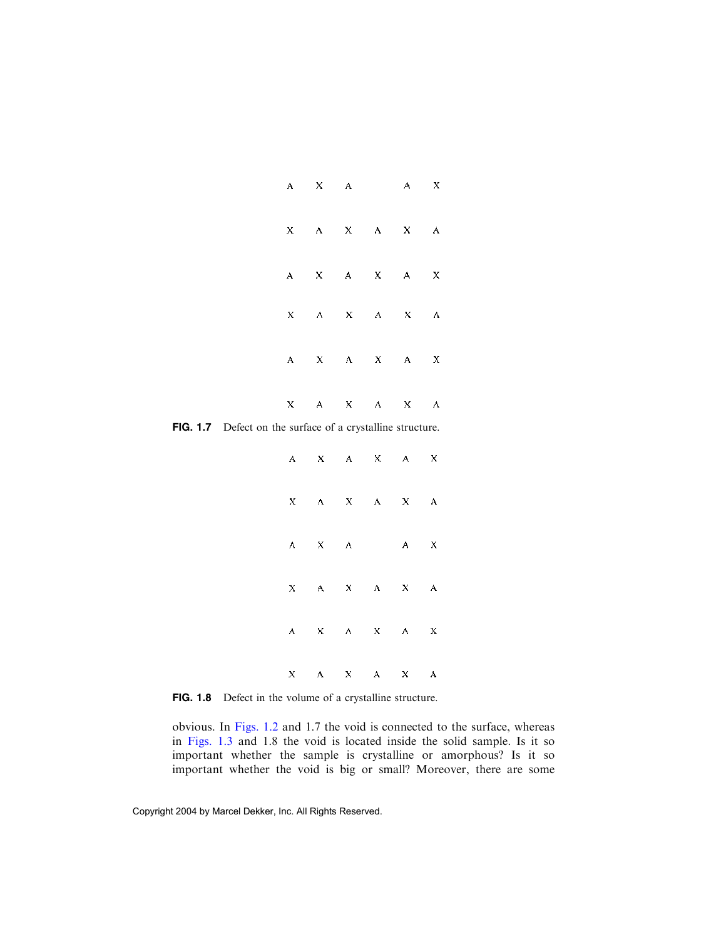<span id="page-7-0"></span>

|                                                   |   | A X A          |                                                                                                                                                                                                                                                                                                                                                     |  | A. | $\boldsymbol{\mathsf{x}}$ |
|---------------------------------------------------|---|----------------|-----------------------------------------------------------------------------------------------------------------------------------------------------------------------------------------------------------------------------------------------------------------------------------------------------------------------------------------------------|--|----|---------------------------|
|                                                   | X | $\overline{A}$ | $X$ $A$ $X$                                                                                                                                                                                                                                                                                                                                         |  |    | А                         |
|                                                   | A |                | X A X A                                                                                                                                                                                                                                                                                                                                             |  |    | $\boldsymbol{\mathsf{X}}$ |
|                                                   | X |                | $\begin{picture}(180,10) \put(0,0){\line(1,0){15}} \put(10,0){\line(1,0){15}} \put(10,0){\line(1,0){15}} \put(10,0){\line(1,0){15}} \put(10,0){\line(1,0){15}} \put(10,0){\line(1,0){15}} \put(10,0){\line(1,0){15}} \put(10,0){\line(1,0){15}} \put(10,0){\line(1,0){15}} \put(10,0){\line(1,0){15}} \put(10,0){\line(1,0){15}} \put(10,0){\line($ |  |    | ٨                         |
|                                                   | A |                | $X = A = X$                                                                                                                                                                                                                                                                                                                                         |  | A  | X                         |
|                                                   |   |                | $X$ A $X$ A $X$                                                                                                                                                                                                                                                                                                                                     |  |    | Α                         |
| Defect on the surface of a crystalline structure. |   |                |                                                                                                                                                                                                                                                                                                                                                     |  |    |                           |

| $A$ $X$ $A$ $X$ $A$ $X$                                                       |         |  |
|-------------------------------------------------------------------------------|---------|--|
| $\mathbf{x} = \mathbf{A} - \mathbf{x} = \mathbf{A} - \mathbf{x} = \mathbf{A}$ |         |  |
| $\mathbf{A} = \mathbf{X} - \mathbf{A}$                                        | $A = X$ |  |
| $X = A = \overline{X} = \overline{A} = \overline{X} = \overline{A}$           |         |  |
| $A = X = A = X = A = X$                                                       |         |  |
| $X$ $A$ $X$ $A$ $X$ $A$                                                       |         |  |

FIG. 1.8 Defect in the volume of a crystalline structure.

obvious. In [Figs. 1.2](#page-3-0) and 1.7 the void is connected to the surface, whereas in [Figs. 1.3](#page-4-0) and 1.8 the void is located inside the solid sample. Is it so important whether the sample is crystalline or amorphous? Is it so important whether the void is big or small? Moreover, there are some

 $FIG. 1.7$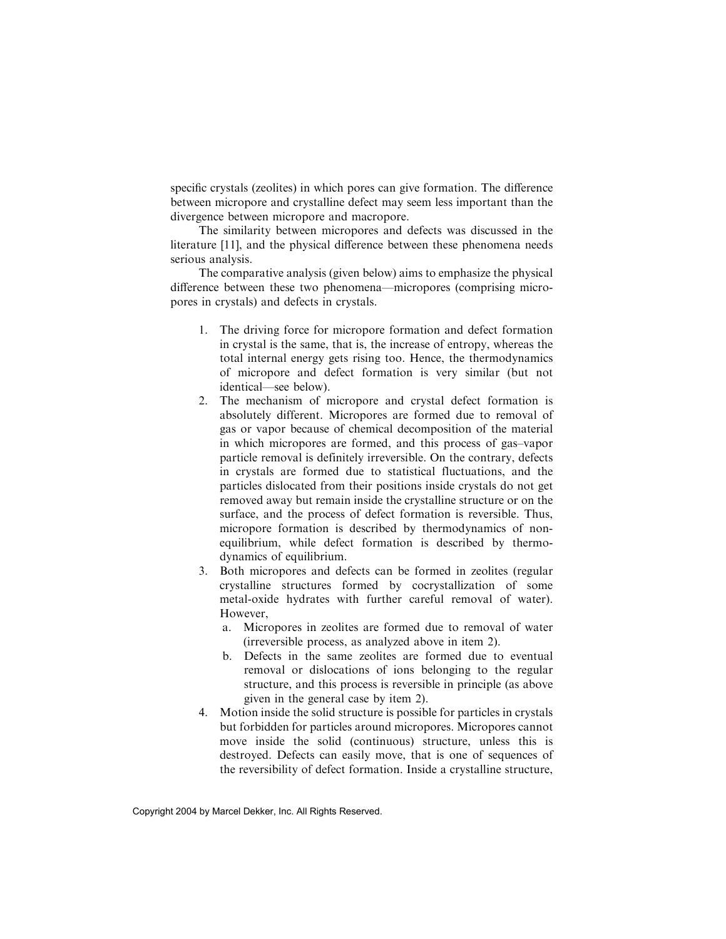specific crystals (zeolites) in which pores can give formation. The difference between micropore and crystalline defect may seem less important than the divergence between micropore and macropore.

The similarity between micropores and defects was discussed in the literature [11], and the physical difference between these phenomena needs serious analysis.

The comparative analysis (given below) aims to emphasize the physical difference between these two phenomena—micropores (comprising micropores in crystals) and defects in crystals.

- 1. The driving force for micropore formation and defect formation in crystal is the same, that is, the increase of entropy, whereas the total internal energy gets rising too. Hence, the thermodynamics of micropore and defect formation is very similar (but not identical—see below).
- 2. The mechanism of micropore and crystal defect formation is absolutely different. Micropores are formed due to removal of gas or vapor because of chemical decomposition of the material in which micropores are formed, and this process of gas–vapor particle removal is definitely irreversible. On the contrary, defects in crystals are formed due to statistical fluctuations, and the particles dislocated from their positions inside crystals do not get removed away but remain inside the crystalline structure or on the surface, and the process of defect formation is reversible. Thus, micropore formation is described by thermodynamics of nonequilibrium, while defect formation is described by thermodynamics of equilibrium.
- 3. Both micropores and defects can be formed in zeolites (regular crystalline structures formed by cocrystallization of some metal-oxide hydrates with further careful removal of water). However,
	- a. Micropores in zeolites are formed due to removal of water (irreversible process, as analyzed above in item 2).
	- b. Defects in the same zeolites are formed due to eventual removal or dislocations of ions belonging to the regular structure, and this process is reversible in principle (as above given in the general case by item 2).
- 4. Motion inside the solid structure is possible for particles in crystals but forbidden for particles around micropores. Micropores cannot move inside the solid (continuous) structure, unless this is destroyed. Defects can easily move, that is one of sequences of the reversibility of defect formation. Inside a crystalline structure,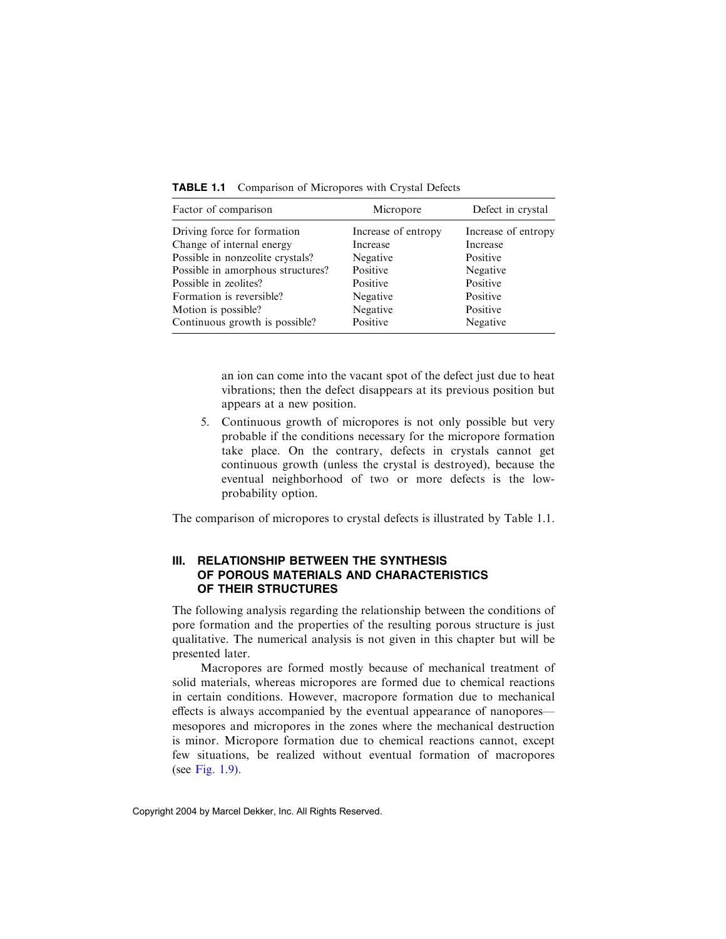| Factor of comparison              | Micropore           | Defect in crystal   |
|-----------------------------------|---------------------|---------------------|
| Driving force for formation       | Increase of entropy | Increase of entropy |
| Change of internal energy         | Increase            | Increase            |
| Possible in nonzeolite crystals?  | Negative            | Positive            |
| Possible in amorphous structures? | Positive            | Negative            |
| Possible in zeolites?             | Positive            | Positive            |
| Formation is reversible?          | Negative            | Positive            |
| Motion is possible?               | Negative            | Positive            |
| Continuous growth is possible?    | Positive            | Negative            |

TABLE 1.1 Comparison of Micropores with Crystal Defects

an ion can come into the vacant spot of the defect just due to heat vibrations; then the defect disappears at its previous position but appears at a new position.

5. Continuous growth of micropores is not only possible but very probable if the conditions necessary for the micropore formation take place. On the contrary, defects in crystals cannot get continuous growth (unless the crystal is destroyed), because the eventual neighborhood of two or more defects is the lowprobability option.

The comparison of micropores to crystal defects is illustrated by Table 1.1.

## III. RELATIONSHIP BETWEEN THE SYNTHESIS OF POROUS MATERIALS AND CHARACTERISTICS OF THEIR STRUCTURES

The following analysis regarding the relationship between the conditions of pore formation and the properties of the resulting porous structure is just qualitative. The numerical analysis is not given in this chapter but will be presented later.

Macropores are formed mostly because of mechanical treatment of solid materials, whereas micropores are formed due to chemical reactions in certain conditions. However, macropore formation due to mechanical effects is always accompanied by the eventual appearance of nanopores mesopores and micropores in the zones where the mechanical destruction is minor. Micropore formation due to chemical reactions cannot, except few situations, be realized without eventual formation of macropores (see [Fig. 1.9\)](#page-10-0).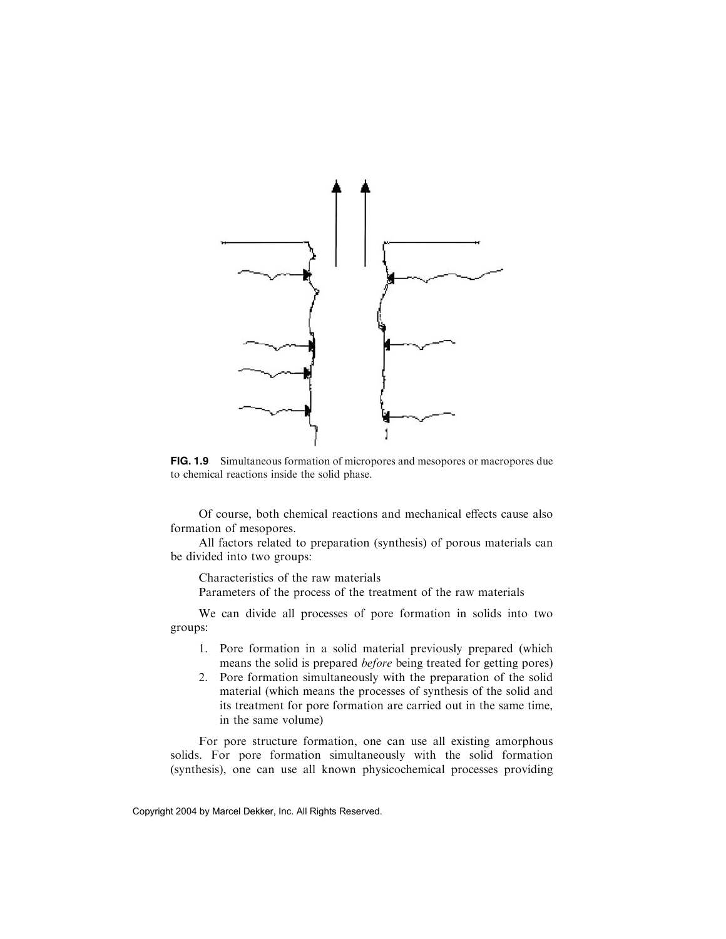<span id="page-10-0"></span>

FIG. 1.9 Simultaneous formation of micropores and mesopores or macropores due to chemical reactions inside the solid phase.

Of course, both chemical reactions and mechanical effects cause also formation of mesopores.

All factors related to preparation (synthesis) of porous materials can be divided into two groups:

Characteristics of the raw materials

Parameters of the process of the treatment of the raw materials

We can divide all processes of pore formation in solids into two groups:

- 1. Pore formation in a solid material previously prepared (which means the solid is prepared before being treated for getting pores)
- 2. Pore formation simultaneously with the preparation of the solid material (which means the processes of synthesis of the solid and its treatment for pore formation are carried out in the same time, in the same volume)

For pore structure formation, one can use all existing amorphous solids. For pore formation simultaneously with the solid formation (synthesis), one can use all known physicochemical processes providing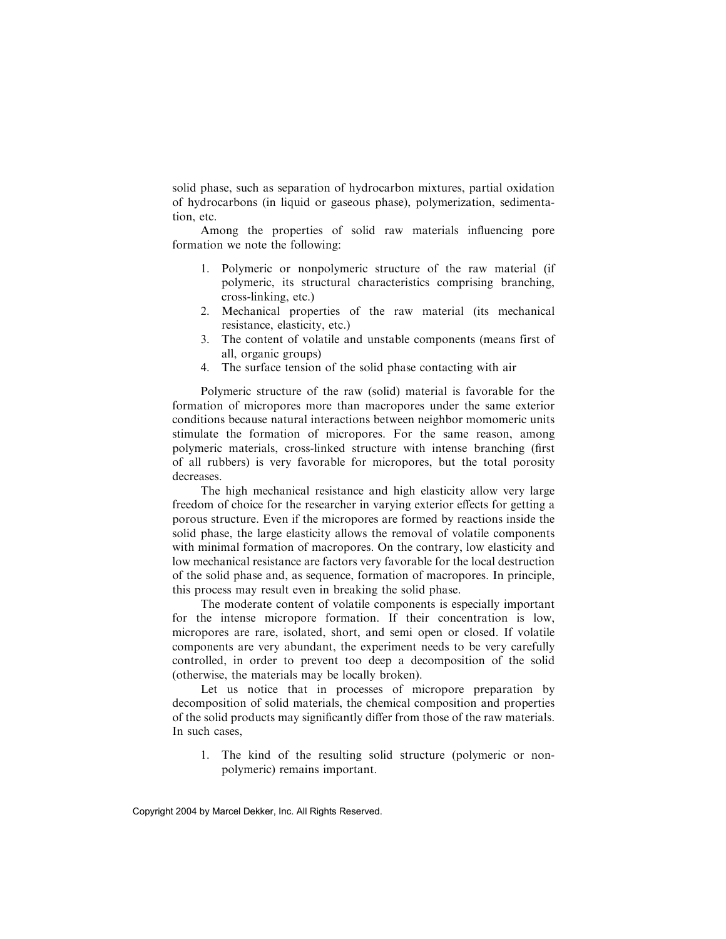solid phase, such as separation of hydrocarbon mixtures, partial oxidation of hydrocarbons (in liquid or gaseous phase), polymerization, sedimentation, etc.

Among the properties of solid raw materials influencing pore formation we note the following:

- 1. Polymeric or nonpolymeric structure of the raw material (if polymeric, its structural characteristics comprising branching, cross-linking, etc.)
- 2. Mechanical properties of the raw material (its mechanical resistance, elasticity, etc.)
- 3. The content of volatile and unstable components (means first of all, organic groups)
- 4. The surface tension of the solid phase contacting with air

Polymeric structure of the raw (solid) material is favorable for the formation of micropores more than macropores under the same exterior conditions because natural interactions between neighbor momomeric units stimulate the formation of micropores. For the same reason, among polymeric materials, cross-linked structure with intense branching (first of all rubbers) is very favorable for micropores, but the total porosity decreases.

The high mechanical resistance and high elasticity allow very large freedom of choice for the researcher in varying exterior effects for getting a porous structure. Even if the micropores are formed by reactions inside the solid phase, the large elasticity allows the removal of volatile components with minimal formation of macropores. On the contrary, low elasticity and low mechanical resistance are factors very favorable for the local destruction of the solid phase and, as sequence, formation of macropores. In principle, this process may result even in breaking the solid phase.

The moderate content of volatile components is especially important for the intense micropore formation. If their concentration is low, micropores are rare, isolated, short, and semi open or closed. If volatile components are very abundant, the experiment needs to be very carefully controlled, in order to prevent too deep a decomposition of the solid (otherwise, the materials may be locally broken).

Let us notice that in processes of micropore preparation by decomposition of solid materials, the chemical composition and properties of the solid products may significantly differ from those of the raw materials. In such cases,

1. The kind of the resulting solid structure (polymeric or nonpolymeric) remains important.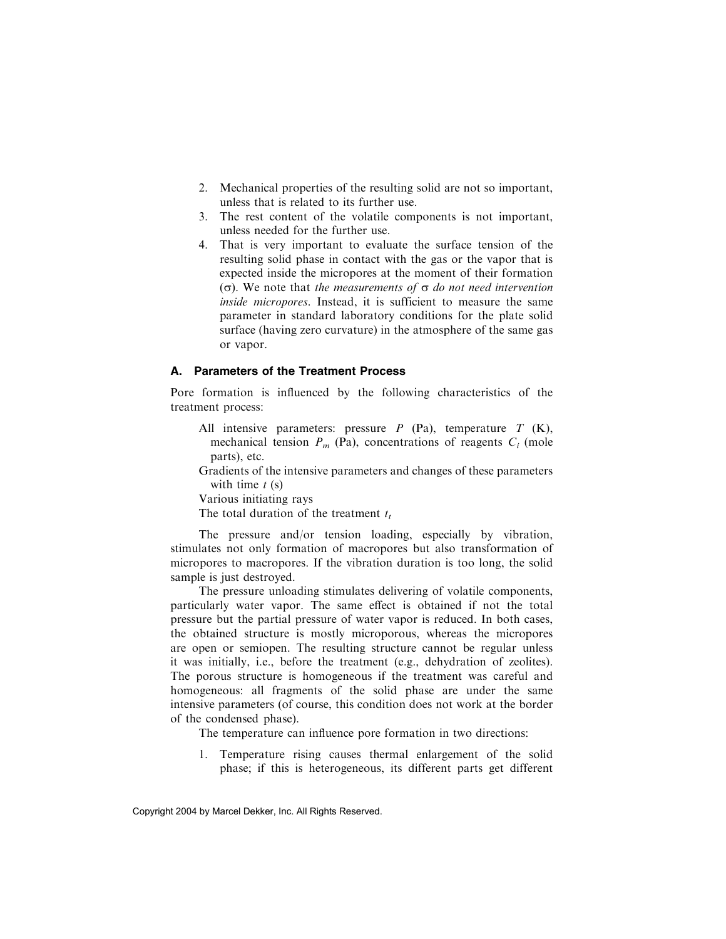- 2. Mechanical properties of the resulting solid are not so important, unless that is related to its further use.
- 3. The rest content of the volatile components is not important, unless needed for the further use.
- 4. That is very important to evaluate the surface tension of the resulting solid phase in contact with the gas or the vapor that is expected inside the micropores at the moment of their formation ( $\sigma$ ). We note that the measurements of  $\sigma$  do not need intervention inside micropores. Instead, it is sufficient to measure the same parameter in standard laboratory conditions for the plate solid surface (having zero curvature) in the atmosphere of the same gas or vapor.

## A. Parameters of the Treatment Process

Pore formation is influenced by the following characteristics of the treatment process:

All intensive parameters: pressure  $P$  (Pa), temperature  $T$  (K), mechanical tension  $P_m$  (Pa), concentrations of reagents  $C_i$  (mole parts), etc.

Gradients of the intensive parameters and changes of these parameters with time  $t$  (s)

Various initiating rays

The total duration of the treatment  $t_t$ 

The pressure and/or tension loading, especially by vibration, stimulates not only formation of macropores but also transformation of micropores to macropores. If the vibration duration is too long, the solid sample is just destroyed.

The pressure unloading stimulates delivering of volatile components, particularly water vapor. The same effect is obtained if not the total pressure but the partial pressure of water vapor is reduced. In both cases, the obtained structure is mostly microporous, whereas the micropores are open or semiopen. The resulting structure cannot be regular unless it was initially, i.e., before the treatment (e.g., dehydration of zeolites). The porous structure is homogeneous if the treatment was careful and homogeneous: all fragments of the solid phase are under the same intensive parameters (of course, this condition does not work at the border of the condensed phase).

The temperature can influence pore formation in two directions:

1. Temperature rising causes thermal enlargement of the solid phase; if this is heterogeneous, its different parts get different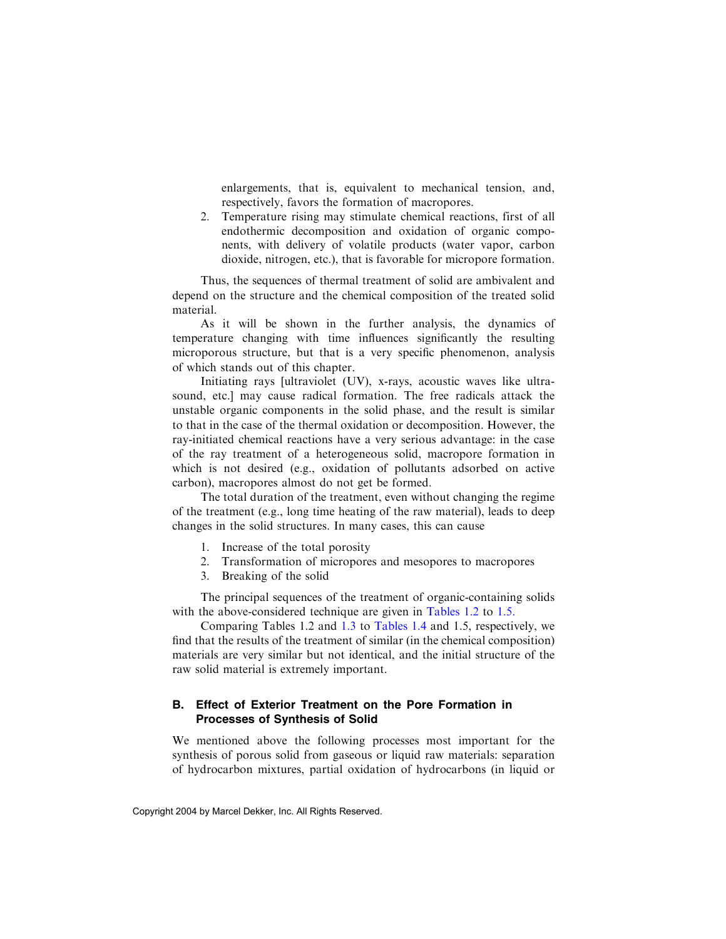enlargements, that is, equivalent to mechanical tension, and, respectively, favors the formation of macropores.

2. Temperature rising may stimulate chemical reactions, first of all endothermic decomposition and oxidation of organic components, with delivery of volatile products (water vapor, carbon dioxide, nitrogen, etc.), that is favorable for micropore formation.

Thus, the sequences of thermal treatment of solid are ambivalent and depend on the structure and the chemical composition of the treated solid material.

As it will be shown in the further analysis, the dynamics of temperature changing with time influences significantly the resulting microporous structure, but that is a very specific phenomenon, analysis of which stands out of this chapter.

Initiating rays [ultraviolet (UV), x-rays, acoustic waves like ultrasound, etc.] may cause radical formation. The free radicals attack the unstable organic components in the solid phase, and the result is similar to that in the case of the thermal oxidation or decomposition. However, the ray-initiated chemical reactions have a very serious advantage: in the case of the ray treatment of a heterogeneous solid, macropore formation in which is not desired (e.g., oxidation of pollutants adsorbed on active carbon), macropores almost do not get be formed.

The total duration of the treatment, even without changing the regime of the treatment (e.g., long time heating of the raw material), leads to deep changes in the solid structures. In many cases, this can cause

- 1. Increase of the total porosity
- 2. Transformation of micropores and mesopores to macropores
- 3. Breaking of the solid

The principal sequences of the treatment of organic-containing solids with the above-considered technique are given in [Tables 1.2](#page-14-0) to [1.5.](#page-17-0)

Comparing Tables 1.2 and [1.3](#page-15-0) to [Tables 1.4](#page-16-0) and 1.5, respectively, we find that the results of the treatment of similar (in the chemical composition) materials are very similar but not identical, and the initial structure of the raw solid material is extremely important.

## B. Effect of Exterior Treatment on the Pore Formation in Processes of Synthesis of Solid

We mentioned above the following processes most important for the synthesis of porous solid from gaseous or liquid raw materials: separation of hydrocarbon mixtures, partial oxidation of hydrocarbons (in liquid or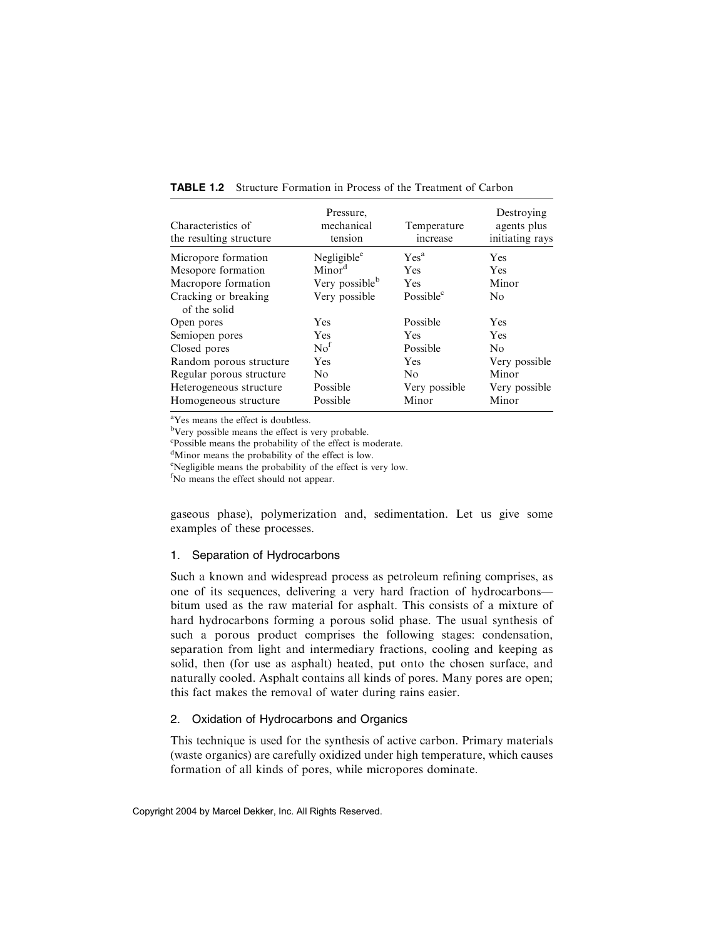| Characteristics of<br>the resulting structure | Pressure,<br>mechanical<br>tension | Temperature<br>increase | Destroying<br>agents plus<br>initiating rays |
|-----------------------------------------------|------------------------------------|-------------------------|----------------------------------------------|
| Micropore formation                           | Negligible <sup>e</sup>            | Yes <sup>a</sup>        | Yes                                          |
| Mesopore formation                            | Minor <sup>d</sup>                 | <b>Yes</b>              | Yes                                          |
| Macropore formation                           | Very possible <sup>b</sup>         | <b>Yes</b>              | Minor                                        |
| Cracking or breaking<br>of the solid          | Very possible                      | Possible <sup>c</sup>   | No                                           |
| Open pores                                    | Yes                                | Possible                | Yes                                          |
| Semiopen pores                                | <b>Yes</b>                         | <b>Yes</b>              | Yes                                          |
| Closed pores                                  | $\mathrm{No}^{\mathrm{f}}$         | Possible                | No                                           |
| Random porous structure                       | <b>Yes</b>                         | <b>Yes</b>              | Very possible                                |
| Regular porous structure                      | No.                                | N <sub>0</sub>          | Minor                                        |
| Heterogeneous structure                       | Possible                           | Very possible           | Very possible                                |
| Homogeneous structure                         | Possible                           | Minor                   | Minor                                        |

#### <span id="page-14-0"></span>TABLE 1.2 Structure Formation in Process of the Treatment of Carbon

<sup>a</sup>Yes means the effect is doubtless.

<sup>b</sup>Very possible means the effect is very probable.

c Possible means the probability of the effect is moderate.

<sup>d</sup>Minor means the probability of the effect is low.

e Negligible means the probability of the effect is very low.

<sup>f</sup>No means the effect should not appear.

gaseous phase), polymerization and, sedimentation. Let us give some examples of these processes.

## 1. Separation of Hydrocarbons

Such a known and widespread process as petroleum refining comprises, as one of its sequences, delivering a very hard fraction of hydrocarbons bitum used as the raw material for asphalt. This consists of a mixture of hard hydrocarbons forming a porous solid phase. The usual synthesis of such a porous product comprises the following stages: condensation, separation from light and intermediary fractions, cooling and keeping as solid, then (for use as asphalt) heated, put onto the chosen surface, and naturally cooled. Asphalt contains all kinds of pores. Many pores are open; this fact makes the removal of water during rains easier.

## 2. Oxidation of Hydrocarbons and Organics

This technique is used for the synthesis of active carbon. Primary materials (waste organics) are carefully oxidized under high temperature, which causes formation of all kinds of pores, while micropores dominate.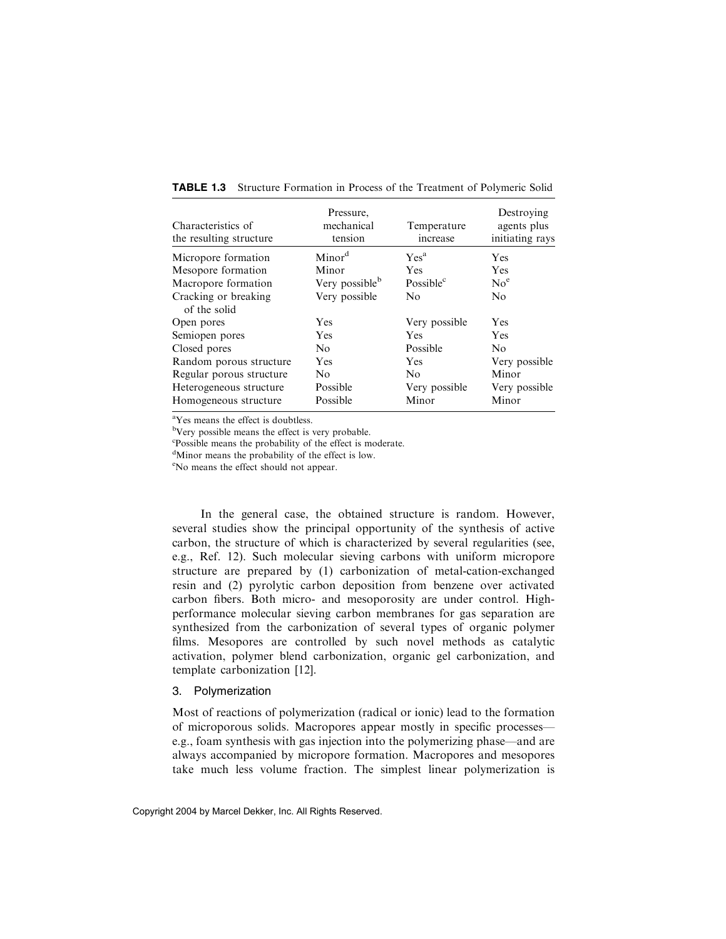| Characteristics of<br>the resulting structure | Pressure.<br>mechanical<br>tension | Temperature<br>increase | Destroying<br>agents plus<br>initiating rays |
|-----------------------------------------------|------------------------------------|-------------------------|----------------------------------------------|
| Micropore formation                           | Minor <sup>d</sup>                 | Yes <sup>a</sup>        | Yes                                          |
| Mesopore formation                            | Minor                              | <b>Yes</b>              | Yes                                          |
| Macropore formation                           | Very possible <sup>b</sup>         | Possible <sup>c</sup>   | No <sup>e</sup>                              |
| Cracking or breaking<br>of the solid          | Very possible                      | No                      | No                                           |
| Open pores                                    | Yes                                | Very possible           | Yes                                          |
| Semiopen pores                                | <b>Yes</b>                         | <b>Yes</b>              | Yes                                          |
| Closed pores                                  | No                                 | Possible                | $\overline{N}_{0}$                           |
| Random porous structure                       | Yes                                | <b>Yes</b>              | Very possible                                |
| Regular porous structure                      | No.                                | N <sub>0</sub>          | Minor                                        |
| Heterogeneous structure                       | Possible                           | Very possible           | Very possible                                |
| Homogeneous structure                         | Possible                           | Minor                   | Minor                                        |

<span id="page-15-0"></span>**TABLE 1.3** Structure Formation in Process of the Treatment of Polymeric Solid

<sup>a</sup>Yes means the effect is doubtless.

<sup>b</sup>Very possible means the effect is very probable.

c Possible means the probability of the effect is moderate.

<sup>d</sup>Minor means the probability of the effect is low.

e No means the effect should not appear.

In the general case, the obtained structure is random. However, several studies show the principal opportunity of the synthesis of active carbon, the structure of which is characterized by several regularities (see, e.g., Ref. 12). Such molecular sieving carbons with uniform micropore structure are prepared by (1) carbonization of metal-cation-exchanged resin and (2) pyrolytic carbon deposition from benzene over activated carbon fibers. Both micro- and mesoporosity are under control. Highperformance molecular sieving carbon membranes for gas separation are synthesized from the carbonization of several types of organic polymer films. Mesopores are controlled by such novel methods as catalytic activation, polymer blend carbonization, organic gel carbonization, and template carbonization [12].

#### 3. Polymerization

Most of reactions of polymerization (radical or ionic) lead to the formation of microporous solids. Macropores appear mostly in specific processes e.g., foam synthesis with gas injection into the polymerizing phase—and are always accompanied by micropore formation. Macropores and mesopores take much less volume fraction. The simplest linear polymerization is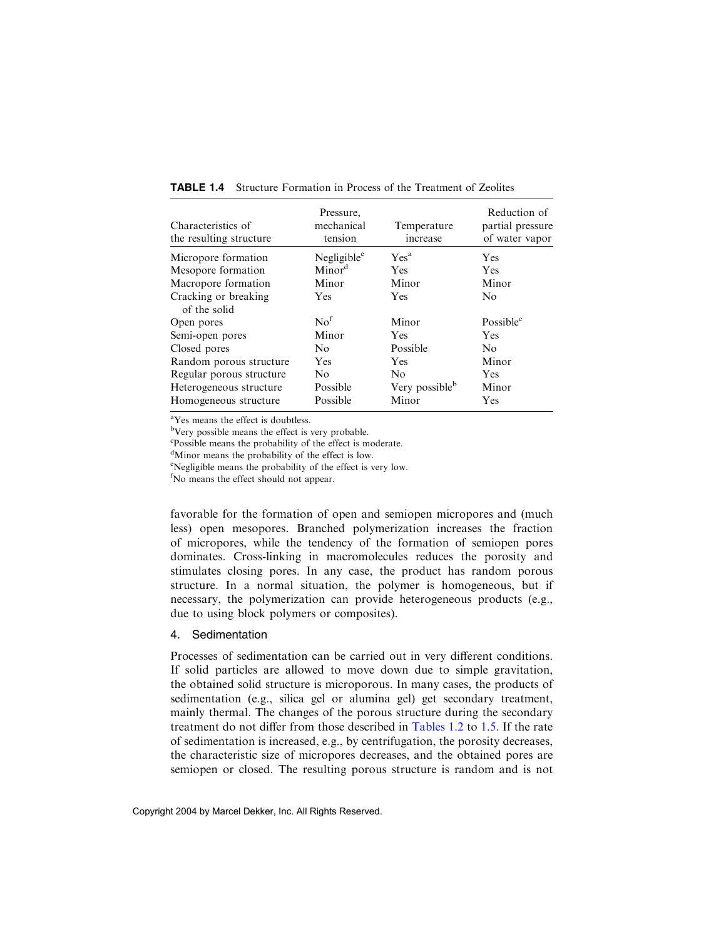| Characteristics of<br>the resulting structure | Pressure,<br>mechanical<br>tension | Temperature<br>increase    | Reduction of<br>partial pressure<br>of water vapor |
|-----------------------------------------------|------------------------------------|----------------------------|----------------------------------------------------|
| Micropore formation                           | Negligible <sup>e</sup>            | Yes <sup>a</sup>           | <b>Yes</b>                                         |
| Mesopore formation                            | Minor <sup>d</sup>                 | <b>Yes</b>                 | <b>Yes</b>                                         |
| Macropore formation                           | Minor                              | Minor                      | Minor                                              |
| Cracking or breaking<br>of the solid          | <b>Yes</b>                         | <b>Yes</b>                 | No.                                                |
| Open pores                                    | No <sup>f</sup>                    | Minor                      | Possible <sup>c</sup>                              |
| Semi-open pores                               | Minor                              | <b>Yes</b>                 | <b>Yes</b>                                         |
| Closed pores                                  | No.                                | Possible                   | No                                                 |
| Random porous structure                       | <b>Yes</b>                         | <b>Yes</b>                 | Minor                                              |
| Regular porous structure                      | No.                                | N <sub>0</sub>             | <b>Yes</b>                                         |
| Heterogeneous structure                       | Possible                           | Very possible <sup>b</sup> | Minor                                              |
| Homogeneous structure                         | Possible                           | Minor                      | <b>Yes</b>                                         |

#### <span id="page-16-0"></span>TABLE 1.4 Structure Formation in Process of the Treatment of Zeolites

<sup>a</sup>Yes means the effect is doubtless.

<sup>b</sup>Very possible means the effect is very probable.

c Possible means the probability of the effect is moderate.

<sup>d</sup>Minor means the probability of the effect is low.

e Negligible means the probability of the effect is very low.

<sup>f</sup>No means the effect should not appear.

favorable for the formation of open and semiopen micropores and (much less) open mesopores. Branched polymerization increases the fraction of micropores, while the tendency of the formation of semiopen pores dominates. Cross-linking in macromolecules reduces the porosity and stimulates closing pores. In any case, the product has random porous structure. In a normal situation, the polymer is homogeneous, but if necessary, the polymerization can provide heterogeneous products (e.g., due to using block polymers or composites).

#### 4. Sedimentation

Processes of sedimentation can be carried out in very different conditions. If solid particles are allowed to move down due to simple gravitation, the obtained solid structure is microporous. In many cases, the products of sedimentation (e.g., silica gel or alumina gel) get secondary treatment, mainly thermal. The changes of the porous structure during the secondary treatment do not differ from those described in [Tables 1.2](#page-14-0) to [1.5.](#page-17-0) If the rate of sedimentation is increased, e.g., by centrifugation, the porosity decreases, the characteristic size of micropores decreases, and the obtained pores are semiopen or closed. The resulting porous structure is random and is not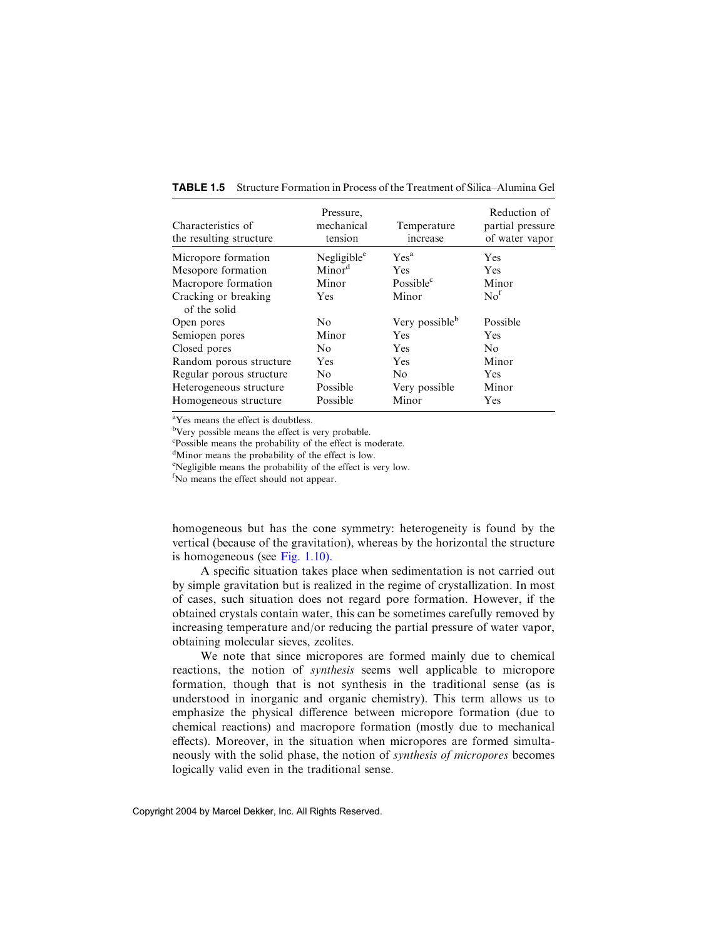| Characteristics of<br>the resulting structure | Pressure,<br>mechanical<br>tension | Temperature<br>increase    | Reduction of<br>partial pressure<br>of water vapor |
|-----------------------------------------------|------------------------------------|----------------------------|----------------------------------------------------|
| Micropore formation                           | Negligible <sup>e</sup>            | Yes <sup>a</sup>           | <b>Yes</b>                                         |
| Mesopore formation                            | Minor <sup>d</sup>                 | <b>Yes</b>                 | Yes                                                |
| Macropore formation                           | Minor                              | Possible <sup>c</sup>      | Minor                                              |
| Cracking or breaking<br>of the solid          | <b>Yes</b>                         | Minor                      | $\mathrm{No}^{\mathrm{f}}$                         |
| Open pores                                    | No.                                | Very possible <sup>b</sup> | Possible                                           |
| Semiopen pores                                | Minor                              | <b>Yes</b>                 | Yes.                                               |
| Closed pores                                  | No.                                | <b>Yes</b>                 | $\overline{N}_{0}$                                 |
| Random porous structure                       | <b>Yes</b>                         | <b>Yes</b>                 | Minor                                              |
| Regular porous structure                      | No.                                | N <sub>0</sub>             | <b>Yes</b>                                         |
| Heterogeneous structure                       | Possible                           | Very possible              | Minor                                              |
| Homogeneous structure                         | Possible                           | Minor                      | <b>Yes</b>                                         |

<span id="page-17-0"></span>TABLE 1.5 Structure Formation in Process of the Treatment of Silica–Alumina Gel

<sup>a</sup>Yes means the effect is doubtless.

<sup>b</sup>Very possible means the effect is very probable.

c Possible means the probability of the effect is moderate.

<sup>d</sup>Minor means the probability of the effect is low.

e Negligible means the probability of the effect is very low.

<sup>f</sup>No means the effect should not appear.

homogeneous but has the cone symmetry: heterogeneity is found by the vertical (because of the gravitation), whereas by the horizontal the structure is homogeneous (see [Fig. 1.10\)](#page-18-0).

A specific situation takes place when sedimentation is not carried out by simple gravitation but is realized in the regime of crystallization. In most of cases, such situation does not regard pore formation. However, if the obtained crystals contain water, this can be sometimes carefully removed by increasing temperature and/or reducing the partial pressure of water vapor, obtaining molecular sieves, zeolites.

We note that since micropores are formed mainly due to chemical reactions, the notion of synthesis seems well applicable to micropore formation, though that is not synthesis in the traditional sense (as is understood in inorganic and organic chemistry). This term allows us to emphasize the physical difference between micropore formation (due to chemical reactions) and macropore formation (mostly due to mechanical effects). Moreover, in the situation when micropores are formed simultaneously with the solid phase, the notion of synthesis of micropores becomes logically valid even in the traditional sense.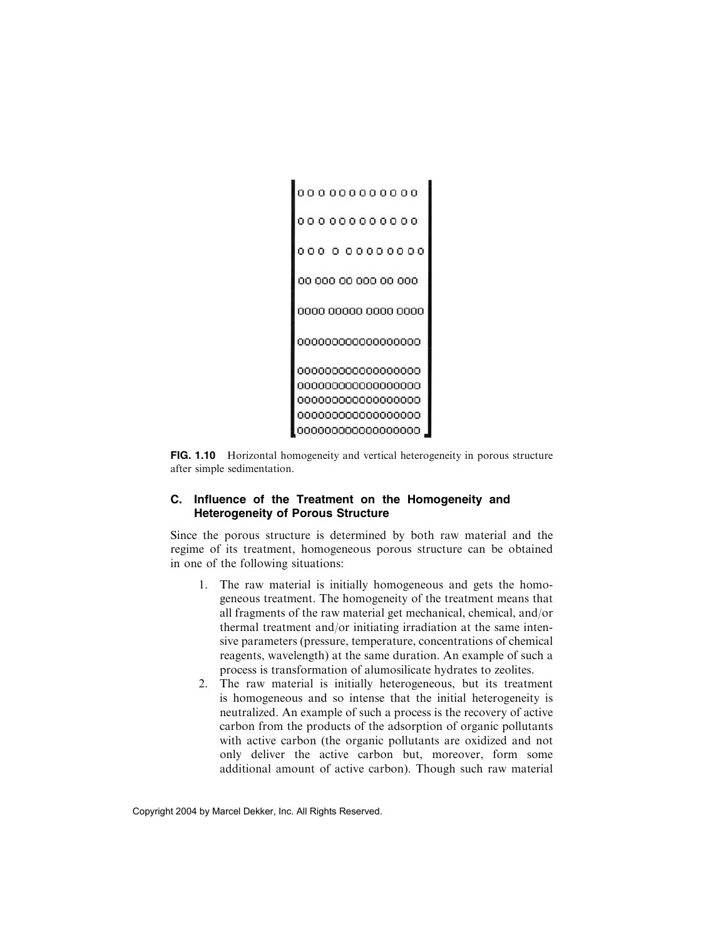<span id="page-18-0"></span>

FIG. 1.10 Horizontal homogeneity and vertical heterogeneity in porous structure after simple sedimentation.

## C. Influence of the Treatment on the Homogeneity and Heterogeneity of Porous Structure

Since the porous structure is determined by both raw material and the regime of its treatment, homogeneous porous structure can be obtained in one of the following situations:

- 1. The raw material is initially homogeneous and gets the homogeneous treatment. The homogeneity of the treatment means that all fragments of the raw material get mechanical, chemical, and/or thermal treatment and/or initiating irradiation at the same intensive parameters (pressure, temperature, concentrations of chemical reagents, wavelength) at the same duration. An example of such a process is transformation of alumosilicate hydrates to zeolites.
- 2. The raw material is initially heterogeneous, but its treatment is homogeneous and so intense that the initial heterogeneity is neutralized. An example of such a process is the recovery of active carbon from the products of the adsorption of organic pollutants with active carbon (the organic pollutants are oxidized and not only deliver the active carbon but, moreover, form some additional amount of active carbon). Though such raw material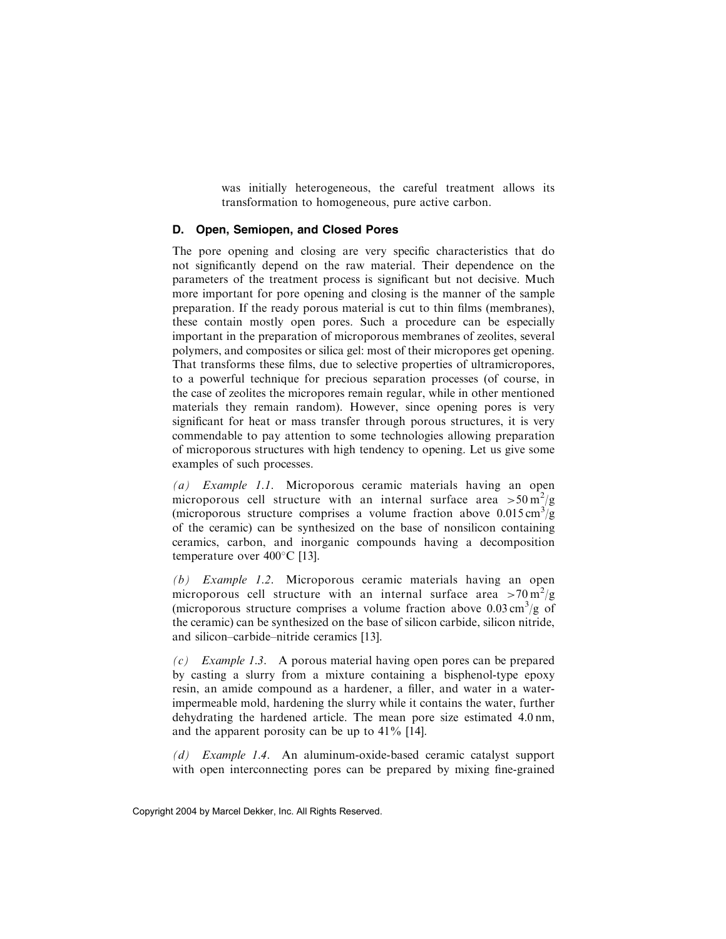was initially heterogeneous, the careful treatment allows its transformation to homogeneous, pure active carbon.

## D. Open, Semiopen, and Closed Pores

The pore opening and closing are very specific characteristics that do not significantly depend on the raw material. Their dependence on the parameters of the treatment process is significant but not decisive. Much more important for pore opening and closing is the manner of the sample preparation. If the ready porous material is cut to thin films (membranes), these contain mostly open pores. Such a procedure can be especially important in the preparation of microporous membranes of zeolites, several polymers, and composites or silica gel: most of their micropores get opening. That transforms these films, due to selective properties of ultramicropores, to a powerful technique for precious separation processes (of course, in the case of zeolites the micropores remain regular, while in other mentioned materials they remain random). However, since opening pores is very significant for heat or mass transfer through porous structures, it is very commendable to pay attention to some technologies allowing preparation of microporous structures with high tendency to opening. Let us give some examples of such processes.

(a) Example 1.1. Microporous ceramic materials having an open microporous cell structure with an internal surface area  $>50 \,\mathrm{m}^2/\mathrm{g}$ (microporous structure comprises a volume fraction above  $0.015 \text{ cm}^3/\text{g}$ of the ceramic) can be synthesized on the base of nonsilicon containing ceramics, carbon, and inorganic compounds having a decomposition temperature over  $400^{\circ}$ C [13].

(b) Example 1.2. Microporous ceramic materials having an open microporous cell structure with an internal surface area  $>70 \,\mathrm{m}^2/\mathrm{g}$ (microporous structure comprises a volume fraction above  $0.03 \text{ cm}^3/\text{g}$  of the ceramic) can be synthesized on the base of silicon carbide, silicon nitride, and silicon–carbide–nitride ceramics [13].

 $(c)$  Example 1.3. A porous material having open pores can be prepared by casting a slurry from a mixture containing a bisphenol-type epoxy resin, an amide compound as a hardener, a filler, and water in a waterimpermeable mold, hardening the slurry while it contains the water, further dehydrating the hardened article. The mean pore size estimated 4.0 nm, and the apparent porosity can be up to 41% [14].

(d) Example 1.4. An aluminum-oxide-based ceramic catalyst support with open interconnecting pores can be prepared by mixing fine-grained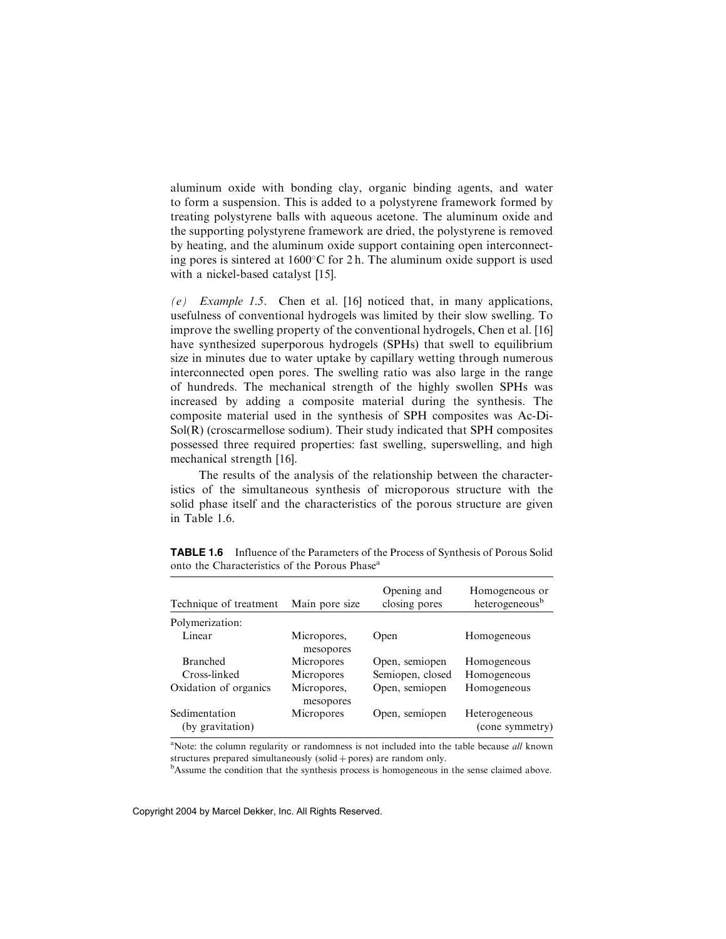aluminum oxide with bonding clay, organic binding agents, and water to form a suspension. This is added to a polystyrene framework formed by treating polystyrene balls with aqueous acetone. The aluminum oxide and the supporting polystyrene framework are dried, the polystyrene is removed by heating, and the aluminum oxide support containing open interconnecting pores is sintered at  $1600^{\circ}$ C for 2 h. The aluminum oxide support is used with a nickel-based catalyst [15].

(e) Example 1.5. Chen et al. [16] noticed that, in many applications, usefulness of conventional hydrogels was limited by their slow swelling. To improve the swelling property of the conventional hydrogels, Chen et al. [16] have synthesized superporous hydrogels (SPHs) that swell to equilibrium size in minutes due to water uptake by capillary wetting through numerous interconnected open pores. The swelling ratio was also large in the range of hundreds. The mechanical strength of the highly swollen SPHs was increased by adding a composite material during the synthesis. The composite material used in the synthesis of SPH composites was Ac-Di-Sol(R) (croscarmellose sodium). Their study indicated that SPH composites possessed three required properties: fast swelling, superswelling, and high mechanical strength [16].

The results of the analysis of the relationship between the characteristics of the simultaneous synthesis of microporous structure with the solid phase itself and the characteristics of the porous structure are given in Table 1.6.

| Technique of treatment            | Main pore size           | Opening and<br>closing pores | Homogeneous or<br>heterogeneous <sup>b</sup> |
|-----------------------------------|--------------------------|------------------------------|----------------------------------------------|
| Polymerization:                   |                          |                              |                                              |
| Linear                            | Micropores,<br>mesopores | Open                         | Homogeneous                                  |
| <b>Branched</b>                   | Micropores               | Open, semiopen               | Homogeneous                                  |
| Cross-linked                      | Micropores               | Semiopen, closed             | Homogeneous                                  |
| Oxidation of organics             | Micropores,<br>mesopores | Open, semiopen               | Homogeneous                                  |
| Sedimentation<br>(by gravitation) | Micropores               | Open, semiopen               | Heterogeneous<br>(cone symmetry)             |

TABLE 1.6 Influence of the Parameters of the Process of Synthesis of Porous Solid onto the Characteristics of the Porous Phase<sup>a</sup>

<sup>a</sup>Note: the column regularity or randomness is not included into the table because all known structures prepared simultaneously (solid  $+$  pores) are random only.

<sup>b</sup>Assume the condition that the synthesis process is homogeneous in the sense claimed above.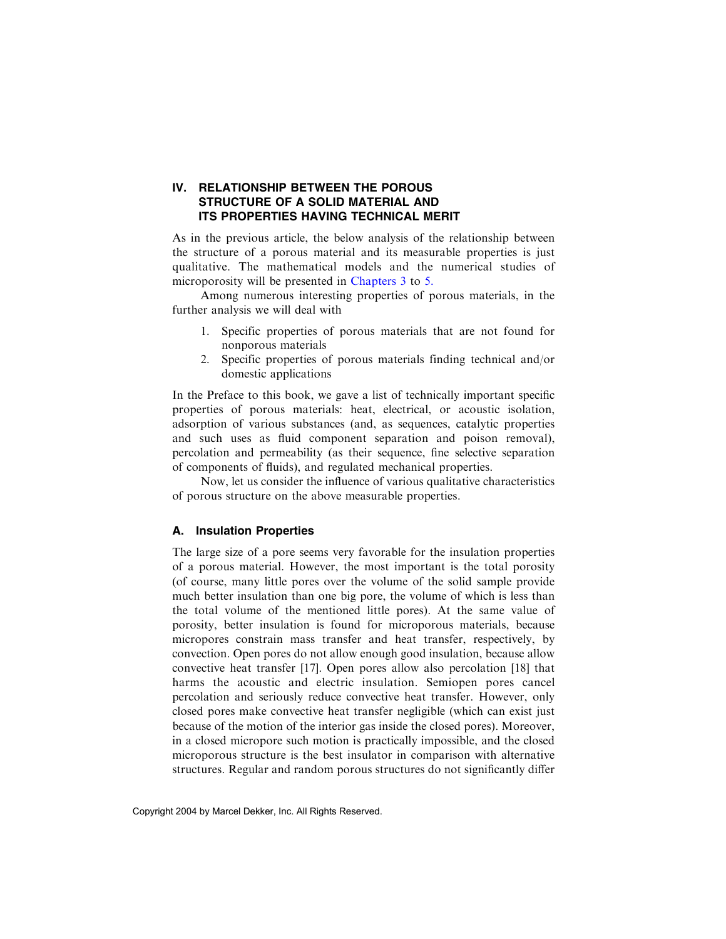## IV. RELATIONSHIP BETWEEN THE POROUS STRUCTURE OF A SOLID MATERIAL AND ITS PROPERTIES HAVING TECHNICAL MERIT

As in the previous article, the below analysis of the relationship between the structure of a porous material and its measurable properties is just qualitative. The mathematical models and the numerical studies of microporosity will be presented in [Chapters 3](#page-0-0) to [5.](#page-0-0)

Among numerous interesting properties of porous materials, in the further analysis we will deal with

- 1. Specific properties of porous materials that are not found for nonporous materials
- 2. Specific properties of porous materials finding technical and/or domestic applications

In the Preface to this book, we gave a list of technically important specific properties of porous materials: heat, electrical, or acoustic isolation, adsorption of various substances (and, as sequences, catalytic properties and such uses as fluid component separation and poison removal), percolation and permeability (as their sequence, fine selective separation of components of fluids), and regulated mechanical properties.

Now, let us consider the influence of various qualitative characteristics of porous structure on the above measurable properties.

# A. Insulation Properties

The large size of a pore seems very favorable for the insulation properties of a porous material. However, the most important is the total porosity (of course, many little pores over the volume of the solid sample provide much better insulation than one big pore, the volume of which is less than the total volume of the mentioned little pores). At the same value of porosity, better insulation is found for microporous materials, because micropores constrain mass transfer and heat transfer, respectively, by convection. Open pores do not allow enough good insulation, because allow convective heat transfer [17]. Open pores allow also percolation [18] that harms the acoustic and electric insulation. Semiopen pores cancel percolation and seriously reduce convective heat transfer. However, only closed pores make convective heat transfer negligible (which can exist just because of the motion of the interior gas inside the closed pores). Moreover, in a closed micropore such motion is practically impossible, and the closed microporous structure is the best insulator in comparison with alternative structures. Regular and random porous structures do not significantly differ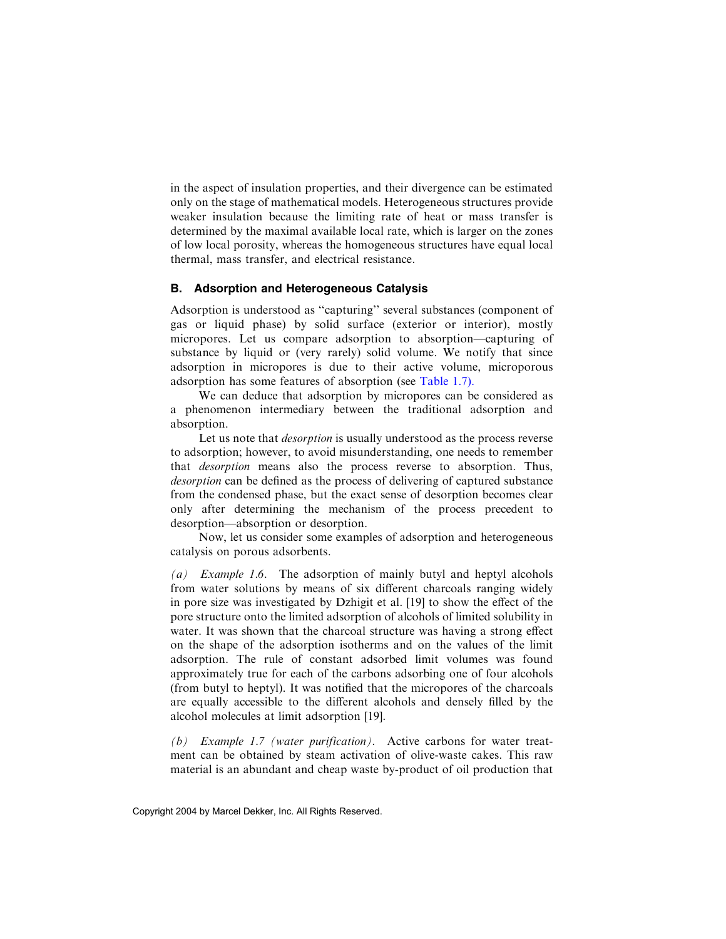in the aspect of insulation properties, and their divergence can be estimated only on the stage of mathematical models. Heterogeneous structures provide weaker insulation because the limiting rate of heat or mass transfer is determined by the maximal available local rate, which is larger on the zones of low local porosity, whereas the homogeneous structures have equal local thermal, mass transfer, and electrical resistance.

## B. Adsorption and Heterogeneous Catalysis

Adsorption is understood as ''capturing'' several substances (component of gas or liquid phase) by solid surface (exterior or interior), mostly micropores. Let us compare adsorption to absorption—capturing of substance by liquid or (very rarely) solid volume. We notify that since adsorption in micropores is due to their active volume, microporous adsorption has some features of absorption (see [Table 1.7\)](#page-23-0).

We can deduce that adsorption by micropores can be considered as a phenomenon intermediary between the traditional adsorption and absorption.

Let us note that *desorption* is usually understood as the process reverse to adsorption; however, to avoid misunderstanding, one needs to remember that desorption means also the process reverse to absorption. Thus, desorption can be defined as the process of delivering of captured substance from the condensed phase, but the exact sense of desorption becomes clear only after determining the mechanism of the process precedent to desorption—absorption or desorption.

Now, let us consider some examples of adsorption and heterogeneous catalysis on porous adsorbents.

(a) Example 1.6. The adsorption of mainly butyl and heptyl alcohols from water solutions by means of six different charcoals ranging widely in pore size was investigated by Dzhigit et al. [19] to show the effect of the pore structure onto the limited adsorption of alcohols of limited solubility in water. It was shown that the charcoal structure was having a strong effect on the shape of the adsorption isotherms and on the values of the limit adsorption. The rule of constant adsorbed limit volumes was found approximately true for each of the carbons adsorbing one of four alcohols (from butyl to heptyl). It was notified that the micropores of the charcoals are equally accessible to the different alcohols and densely filled by the alcohol molecules at limit adsorption [19].

(b) Example 1.7 (water purification). Active carbons for water treatment can be obtained by steam activation of olive-waste cakes. This raw material is an abundant and cheap waste by-product of oil production that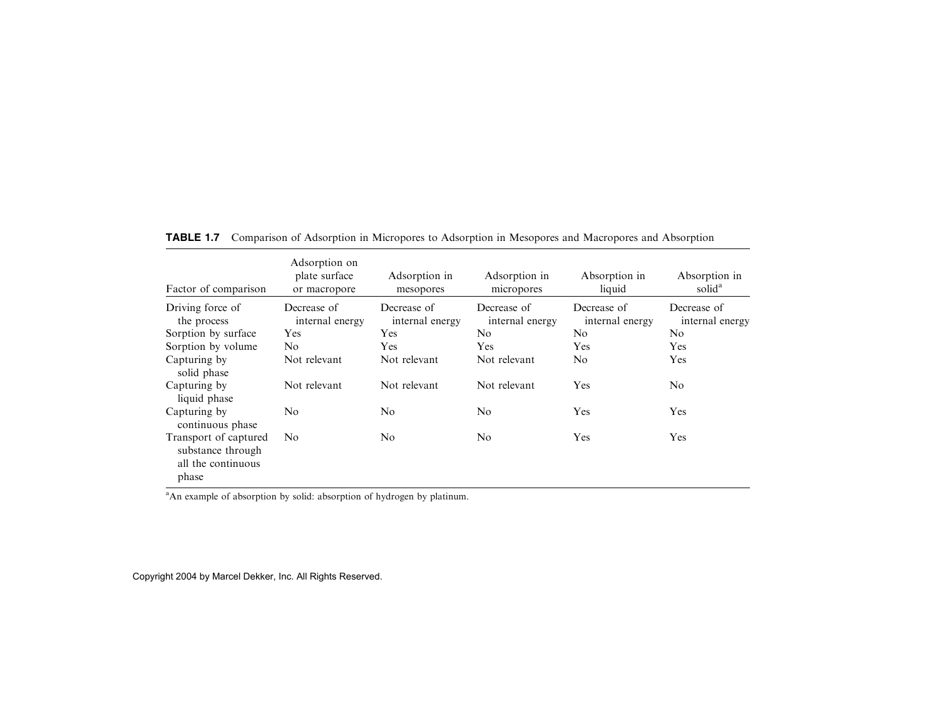| Factor of comparison                                                      | Adsorption on<br>plate surface<br>or macropore | Adsorption in<br>mesopores     | Adsorption in<br>micropores    | Absorption in<br>liquid        | Absorption in<br>solid <sup>a</sup> |
|---------------------------------------------------------------------------|------------------------------------------------|--------------------------------|--------------------------------|--------------------------------|-------------------------------------|
| Driving force of<br>the process                                           | Decrease of<br>internal energy                 | Decrease of<br>internal energy | Decrease of<br>internal energy | Decrease of<br>internal energy | Decrease of<br>internal energy      |
| Sorption by surface                                                       | Yes                                            | <b>Yes</b>                     | No                             | No                             | No.                                 |
| Sorption by volume                                                        | No                                             | <b>Yes</b>                     | <b>Yes</b>                     | Yes                            | Yes                                 |
| Capturing by<br>solid phase                                               | Not relevant                                   | Not relevant                   | Not relevant                   | N <sub>0</sub>                 | <b>Yes</b>                          |
| Capturing by<br>liquid phase                                              | Not relevant                                   | Not relevant                   | Not relevant                   | Yes                            | No.                                 |
| Capturing by<br>continuous phase                                          | No.                                            | N <sub>0</sub>                 | N <sub>0</sub>                 | Yes                            | <b>Yes</b>                          |
| Transport of captured<br>substance through<br>all the continuous<br>phase | N <sub>0</sub>                                 | N <sub>0</sub>                 | N <sub>0</sub>                 | <b>Yes</b>                     | <b>Yes</b>                          |

<span id="page-23-0"></span>**TABLE 1.7** Comparison of Adsorption in Micropores to Adsorption in Mesopores and Macropores and Absorption

<sup>a</sup>An example of absorption by solid: absorption of hydrogen by platinum.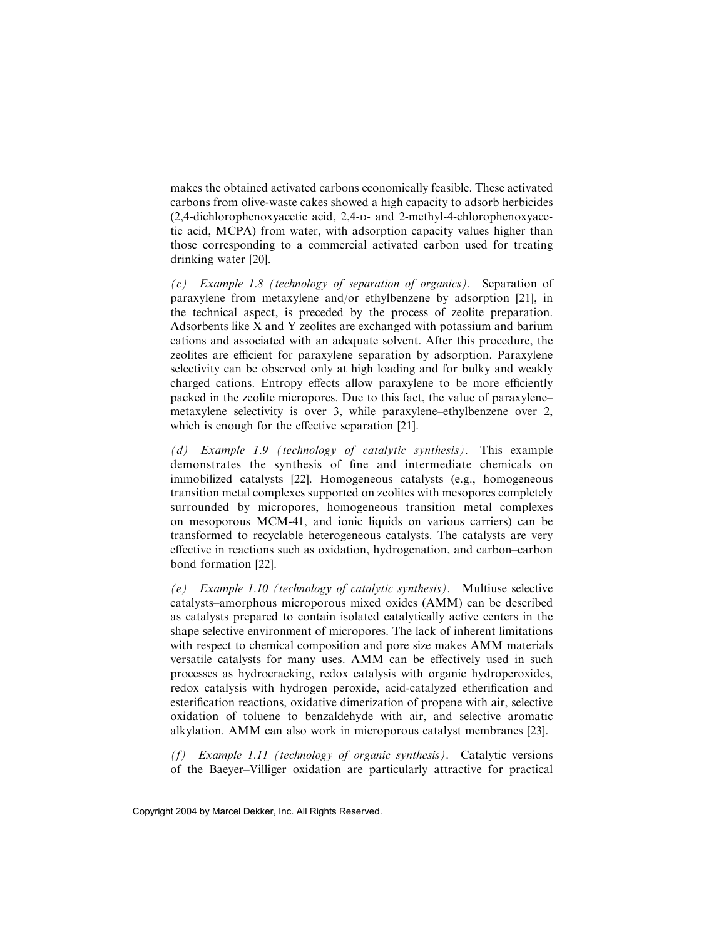makes the obtained activated carbons economically feasible. These activated carbons from olive-waste cakes showed a high capacity to adsorb herbicides (2,4-dichlorophenoxyacetic acid, 2,4-D- and 2-methyl-4-chlorophenoxyacetic acid, MCPA) from water, with adsorption capacity values higher than those corresponding to a commercial activated carbon used for treating drinking water [20].

 $(c)$  Example 1.8 (technology of separation of organics). Separation of paraxylene from metaxylene and/or ethylbenzene by adsorption [21], in the technical aspect, is preceded by the process of zeolite preparation. Adsorbents like X and Y zeolites are exchanged with potassium and barium cations and associated with an adequate solvent. After this procedure, the zeolites are efficient for paraxylene separation by adsorption. Paraxylene selectivity can be observed only at high loading and for bulky and weakly charged cations. Entropy effects allow paraxylene to be more efficiently packed in the zeolite micropores. Due to this fact, the value of paraxylene– metaxylene selectivity is over 3, while paraxylene–ethylbenzene over 2, which is enough for the effective separation [21].

(d) Example 1.9 (technology of catalytic synthesis). This example demonstrates the synthesis of fine and intermediate chemicals on immobilized catalysts [22]. Homogeneous catalysts (e.g., homogeneous transition metal complexes supported on zeolites with mesopores completely surrounded by micropores, homogeneous transition metal complexes on mesoporous MCM-41, and ionic liquids on various carriers) can be transformed to recyclable heterogeneous catalysts. The catalysts are very effective in reactions such as oxidation, hydrogenation, and carbon–carbon bond formation [22].

(e) Example 1.10 (technology of catalytic synthesis). Multiuse selective catalysts–amorphous microporous mixed oxides (AMM) can be described as catalysts prepared to contain isolated catalytically active centers in the shape selective environment of micropores. The lack of inherent limitations with respect to chemical composition and pore size makes AMM materials versatile catalysts for many uses. AMM can be effectively used in such processes as hydrocracking, redox catalysis with organic hydroperoxides, redox catalysis with hydrogen peroxide, acid-catalyzed etherification and esterification reactions, oxidative dimerization of propene with air, selective oxidation of toluene to benzaldehyde with air, and selective aromatic alkylation. AMM can also work in microporous catalyst membranes [23].

(f) Example 1.11 (technology of organic synthesis). Catalytic versions of the Baeyer–Villiger oxidation are particularly attractive for practical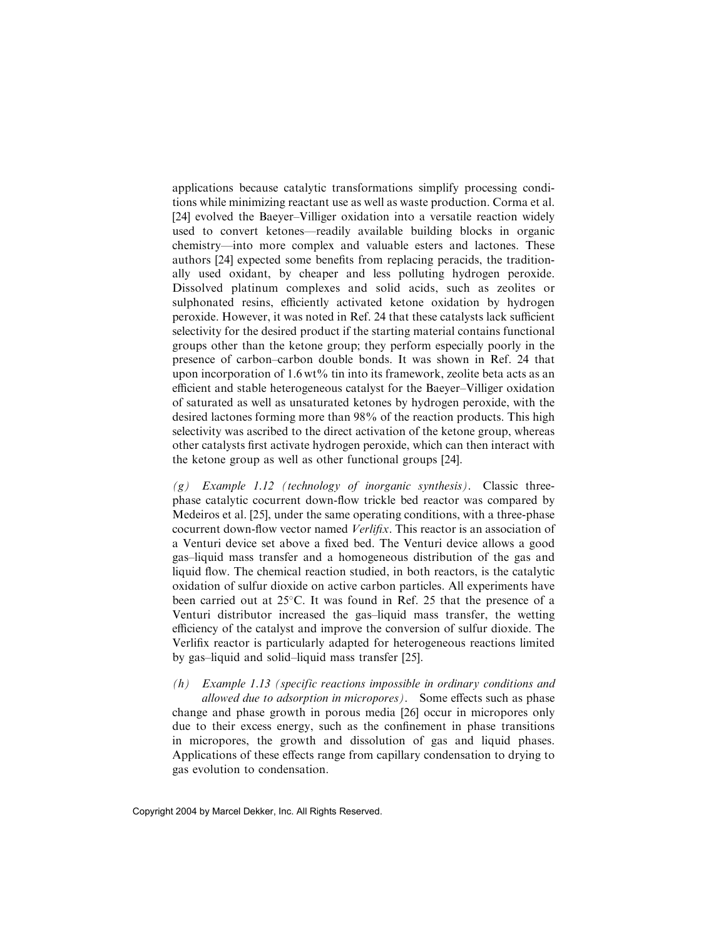applications because catalytic transformations simplify processing conditions while minimizing reactant use as well as waste production. Corma et al. [24] evolved the Baeyer–Villiger oxidation into a versatile reaction widely used to convert ketones—readily available building blocks in organic chemistry—into more complex and valuable esters and lactones. These authors [24] expected some benefits from replacing peracids, the traditionally used oxidant, by cheaper and less polluting hydrogen peroxide. Dissolved platinum complexes and solid acids, such as zeolites or sulphonated resins, efficiently activated ketone oxidation by hydrogen peroxide. However, it was noted in Ref. 24 that these catalysts lack sufficient selectivity for the desired product if the starting material contains functional groups other than the ketone group; they perform especially poorly in the presence of carbon–carbon double bonds. It was shown in Ref. 24 that upon incorporation of  $1.6 \text{ wt\%}$  tin into its framework, zeolite beta acts as an efficient and stable heterogeneous catalyst for the Baeyer–Villiger oxidation of saturated as well as unsaturated ketones by hydrogen peroxide, with the desired lactones forming more than 98% of the reaction products. This high selectivity was ascribed to the direct activation of the ketone group, whereas other catalysts first activate hydrogen peroxide, which can then interact with the ketone group as well as other functional groups [24].

(g) Example 1.12 (technology of inorganic synthesis). Classic threephase catalytic cocurrent down-flow trickle bed reactor was compared by Medeiros et al. [25], under the same operating conditions, with a three-phase cocurrent down-flow vector named Verlifix. This reactor is an association of a Venturi device set above a fixed bed. The Venturi device allows a good gas–liquid mass transfer and a homogeneous distribution of the gas and liquid flow. The chemical reaction studied, in both reactors, is the catalytic oxidation of sulfur dioxide on active carbon particles. All experiments have been carried out at  $25^{\circ}$ C. It was found in Ref. 25 that the presence of a Venturi distributor increased the gas–liquid mass transfer, the wetting efficiency of the catalyst and improve the conversion of sulfur dioxide. The Verlifix reactor is particularly adapted for heterogeneous reactions limited by gas–liquid and solid–liquid mass transfer [25].

 $(h)$  Example 1.13 (specific reactions impossible in ordinary conditions and allowed due to adsorption in micropores). Some effects such as phase change and phase growth in porous media [26] occur in micropores only due to their excess energy, such as the confinement in phase transitions in micropores, the growth and dissolution of gas and liquid phases. Applications of these effects range from capillary condensation to drying to gas evolution to condensation.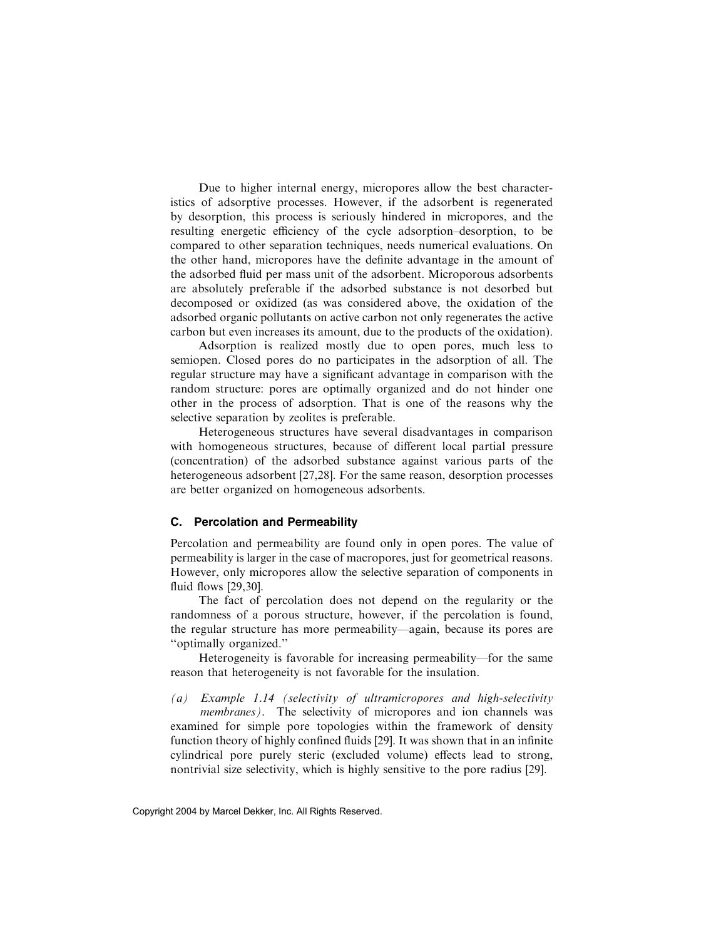Due to higher internal energy, micropores allow the best characteristics of adsorptive processes. However, if the adsorbent is regenerated by desorption, this process is seriously hindered in micropores, and the resulting energetic efficiency of the cycle adsorption–desorption, to be compared to other separation techniques, needs numerical evaluations. On the other hand, micropores have the definite advantage in the amount of the adsorbed fluid per mass unit of the adsorbent. Microporous adsorbents are absolutely preferable if the adsorbed substance is not desorbed but decomposed or oxidized (as was considered above, the oxidation of the adsorbed organic pollutants on active carbon not only regenerates the active carbon but even increases its amount, due to the products of the oxidation).

Adsorption is realized mostly due to open pores, much less to semiopen. Closed pores do no participates in the adsorption of all. The regular structure may have a significant advantage in comparison with the random structure: pores are optimally organized and do not hinder one other in the process of adsorption. That is one of the reasons why the selective separation by zeolites is preferable.

Heterogeneous structures have several disadvantages in comparison with homogeneous structures, because of different local partial pressure (concentration) of the adsorbed substance against various parts of the heterogeneous adsorbent [27,28]. For the same reason, desorption processes are better organized on homogeneous adsorbents.

## C. Percolation and Permeability

Percolation and permeability are found only in open pores. The value of permeability is larger in the case of macropores, just for geometrical reasons. However, only micropores allow the selective separation of components in fluid flows [29,30].

The fact of percolation does not depend on the regularity or the randomness of a porous structure, however, if the percolation is found, the regular structure has more permeability—again, because its pores are ''optimally organized.''

Heterogeneity is favorable for increasing permeability—for the same reason that heterogeneity is not favorable for the insulation.

(a) Example 1.14 (selectivity of ultramicropores and high-selectivity membranes). The selectivity of micropores and ion channels was examined for simple pore topologies within the framework of density function theory of highly confined fluids [29]. It was shown that in an infinite cylindrical pore purely steric (excluded volume) effects lead to strong, nontrivial size selectivity, which is highly sensitive to the pore radius [29].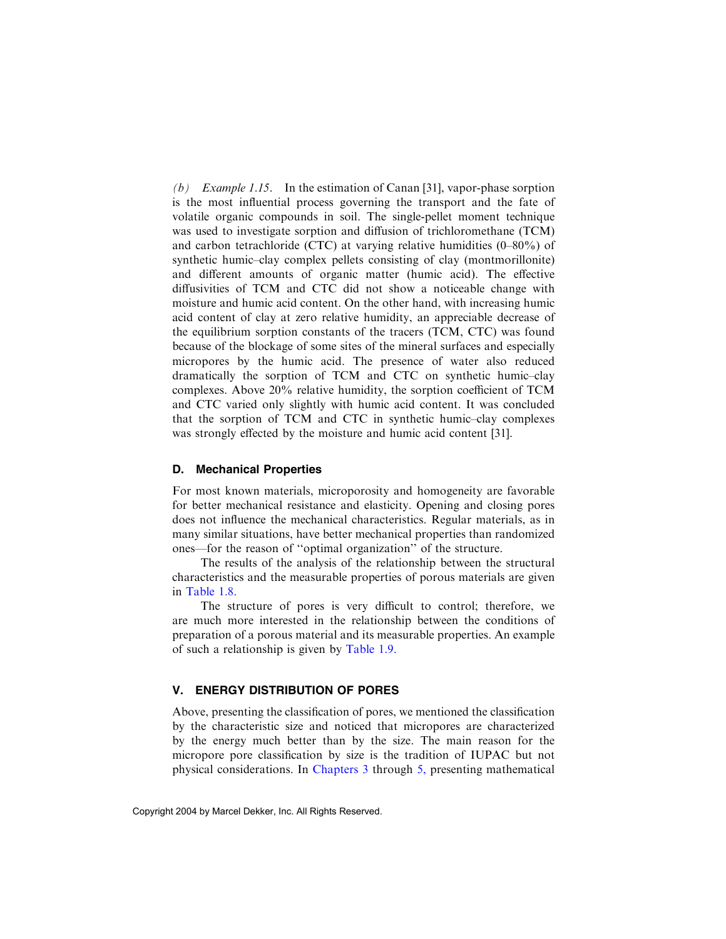(b) Example 1.15. In the estimation of Canan [31], vapor-phase sorption is the most influential process governing the transport and the fate of volatile organic compounds in soil. The single-pellet moment technique was used to investigate sorption and diffusion of trichloromethane (TCM) and carbon tetrachloride (CTC) at varying relative humidities (0–80%) of synthetic humic–clay complex pellets consisting of clay (montmorillonite) and different amounts of organic matter (humic acid). The effective diffusivities of TCM and CTC did not show a noticeable change with moisture and humic acid content. On the other hand, with increasing humic acid content of clay at zero relative humidity, an appreciable decrease of the equilibrium sorption constants of the tracers (TCM, CTC) was found because of the blockage of some sites of the mineral surfaces and especially micropores by the humic acid. The presence of water also reduced dramatically the sorption of TCM and CTC on synthetic humic–clay complexes. Above 20% relative humidity, the sorption coefficient of TCM and CTC varied only slightly with humic acid content. It was concluded that the sorption of TCM and CTC in synthetic humic–clay complexes was strongly effected by the moisture and humic acid content [31].

#### D. Mechanical Properties

For most known materials, microporosity and homogeneity are favorable for better mechanical resistance and elasticity. Opening and closing pores does not influence the mechanical characteristics. Regular materials, as in many similar situations, have better mechanical properties than randomized ones—for the reason of ''optimal organization'' of the structure.

The results of the analysis of the relationship between the structural characteristics and the measurable properties of porous materials are given in [Table 1.8.](#page-28-0)

The structure of pores is very difficult to control; therefore, we are much more interested in the relationship between the conditions of preparation of a porous material and its measurable properties. An example of such a relationship is given by [Table 1.9.](#page-29-0)

## V. ENERGY DISTRIBUTION OF PORES

Above, presenting the classification of pores, we mentioned the classification by the characteristic size and noticed that micropores are characterized by the energy much better than by the size. The main reason for the micropore pore classification by size is the tradition of IUPAC but not physical considerations. In [Chapters 3](#page-0-0) through [5,](#page-0-0) presenting mathematical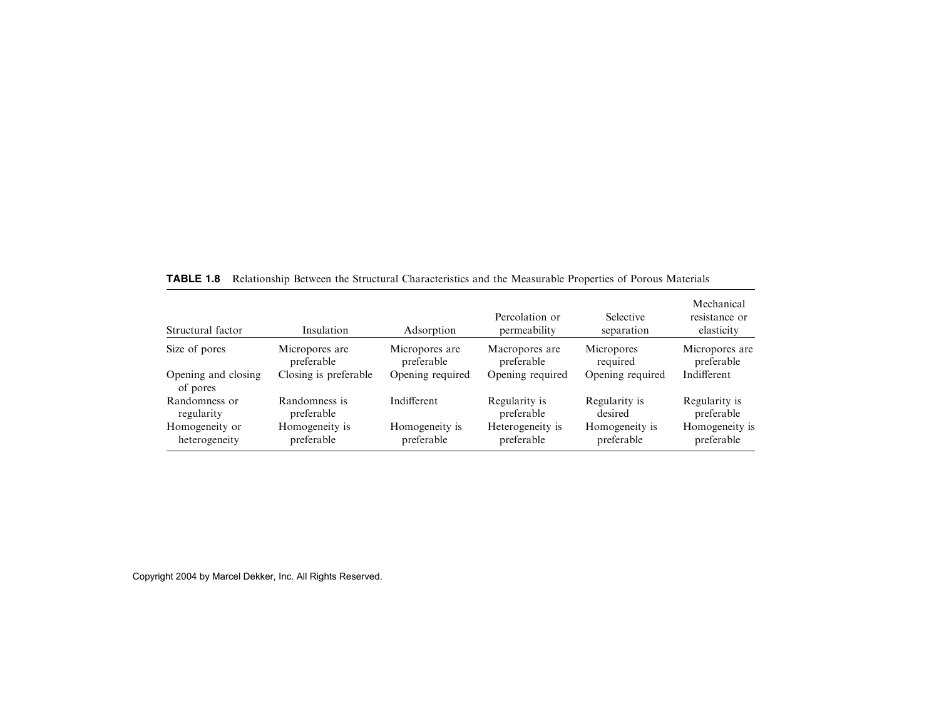| Structural factor               | Insulation            | Adsorption       | Percolation or<br>permeability | Selective<br>separation | Mechanical<br>resistance or<br>elasticity |
|---------------------------------|-----------------------|------------------|--------------------------------|-------------------------|-------------------------------------------|
| Size of pores                   | Micropores are        | Micropores are   | Macropores are                 | Micropores              | Micropores are.                           |
|                                 | preferable            | preferable       | preferable                     | required                | preferable                                |
| Opening and closing<br>of pores | Closing is preferable | Opening required | Opening required               | Opening required        | Indifferent                               |
| Randomness or                   | Randomness is         | Indifferent      | Regularity is                  | Regularity is           | Regularity is                             |
| regularity                      | preferable            |                  | preferable                     | desired                 | preferable                                |
| Homogeneity or                  | Homogeneity is        | Homogeneity is   | Heterogeneity is               | Homogeneity is          | Homogeneity is                            |
| heterogeneity                   | preferable            | preferable       | preferable                     | preferable              | preferable                                |

<span id="page-28-0"></span>**TABLE 1.8** Relationship Between the Structural Characteristics and the Measurable Properties of Porous Materials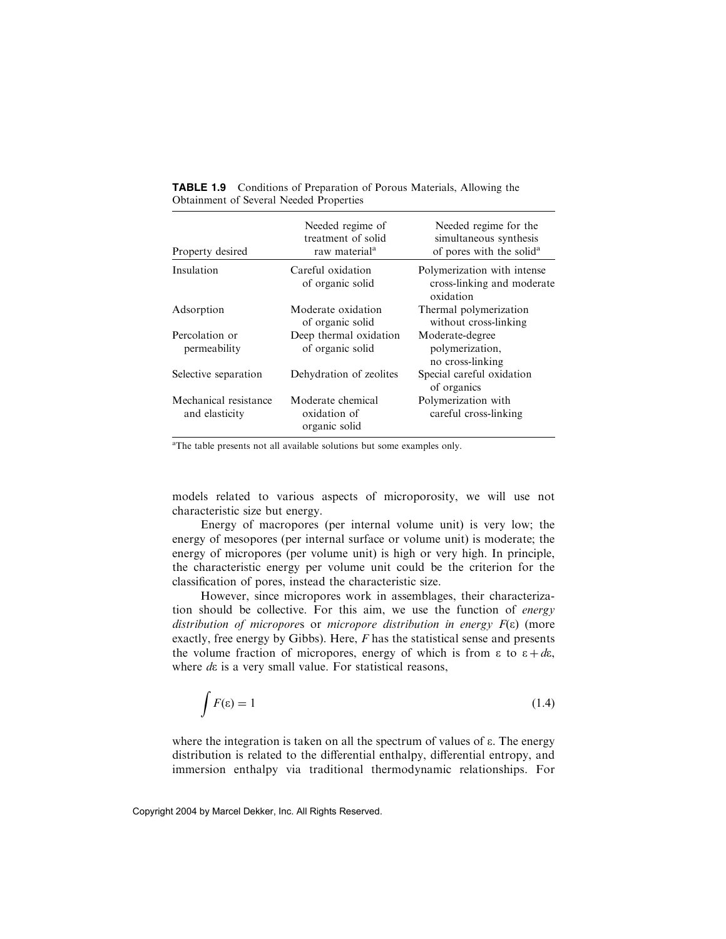| Property desired                        | Needed regime of<br>treatment of solid<br>raw material <sup>a</sup> | Needed regime for the<br>simultaneous synthesis<br>of pores with the solid <sup>a</sup> |
|-----------------------------------------|---------------------------------------------------------------------|-----------------------------------------------------------------------------------------|
| Insulation                              | Careful oxidation<br>of organic solid                               | Polymerization with intense<br>cross-linking and moderate<br>oxidation                  |
| Adsorption                              | Moderate oxidation<br>of organic solid                              | Thermal polymerization<br>without cross-linking                                         |
| Percolation or<br>permeability          | Deep thermal oxidation<br>of organic solid                          | Moderate-degree<br>polymerization.<br>no cross-linking                                  |
| Selective separation                    | Dehydration of zeolites                                             | Special careful oxidation<br>of organics                                                |
| Mechanical resistance<br>and elasticity | Moderate chemical<br>oxidation of<br>organic solid                  | Polymerization with<br>careful cross-linking                                            |

<span id="page-29-0"></span>TABLE 1.9 Conditions of Preparation of Porous Materials, Allowing the Obtainment of Several Needed Properties

<sup>a</sup>The table presents not all available solutions but some examples only.

models related to various aspects of microporosity, we will use not characteristic size but energy.

Energy of macropores (per internal volume unit) is very low; the energy of mesopores (per internal surface or volume unit) is moderate; the energy of micropores (per volume unit) is high or very high. In principle, the characteristic energy per volume unit could be the criterion for the classification of pores, instead the characteristic size.

However, since micropores work in assemblages, their characterization should be collective. For this aim, we use the function of energy distribution of micropores or micropore distribution in energy  $F(\varepsilon)$  (more exactly, free energy by Gibbs). Here,  $F$  has the statistical sense and presents the volume fraction of micropores, energy of which is from  $\varepsilon$  to  $\varepsilon + d\varepsilon$ , where *d*e is a very small value. For statistical reasons,

$$
\int F(\varepsilon) = 1 \tag{1.4}
$$

where the integration is taken on all the spectrum of values of  $\varepsilon$ . The energy distribution is related to the differential enthalpy, differential entropy, and immersion enthalpy via traditional thermodynamic relationships. For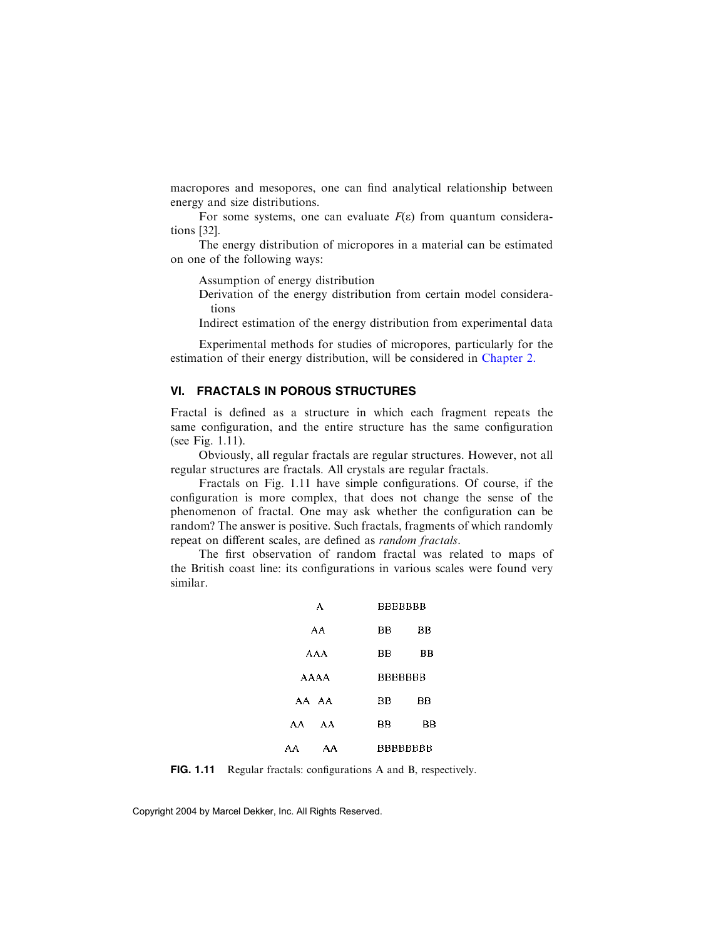macropores and mesopores, one can find analytical relationship between energy and size distributions.

For some systems, one can evaluate  $F(\varepsilon)$  from quantum considerations [32].

The energy distribution of micropores in a material can be estimated on one of the following ways:

Assumption of energy distribution

Derivation of the energy distribution from certain model considerations

Indirect estimation of the energy distribution from experimental data

Experimental methods for studies of micropores, particularly for the estimation of their energy distribution, will be considered in [Chapter 2.](#page-0-0)

## VI. FRACTALS IN POROUS STRUCTURES

Fractal is defined as a structure in which each fragment repeats the same configuration, and the entire structure has the same configuration (see Fig. 1.11).

Obviously, all regular fractals are regular structures. However, not all regular structures are fractals. All crystals are regular fractals.

Fractals on Fig. 1.11 have simple configurations. Of course, if the configuration is more complex, that does not change the sense of the phenomenon of fractal. One may ask whether the configuration can be random? The answer is positive. Such fractals, fragments of which randomly repeat on different scales, are defined as random fractals.

The first observation of random fractal was related to maps of the British coast line: its configurations in various scales were found very similar.

| A    |       |    | <b>BRBBBBB</b> |  |  |
|------|-------|----|----------------|--|--|
| AA   |       | BB | ВB             |  |  |
| AAA  |       | ВB | ВB             |  |  |
| AAAA |       |    | BBBBBBB        |  |  |
|      | AA AA | ВB | ΒB             |  |  |
| ۸۸   | ΛЛ    | ВB | ВB             |  |  |
| AA   | ΑA    |    | BBBBBBBB       |  |  |

FIG. 1.11 Regular fractals: configurations A and B, respectively.

Copyright 2004 by Marcel Dekker, Inc. All Rights Reserved.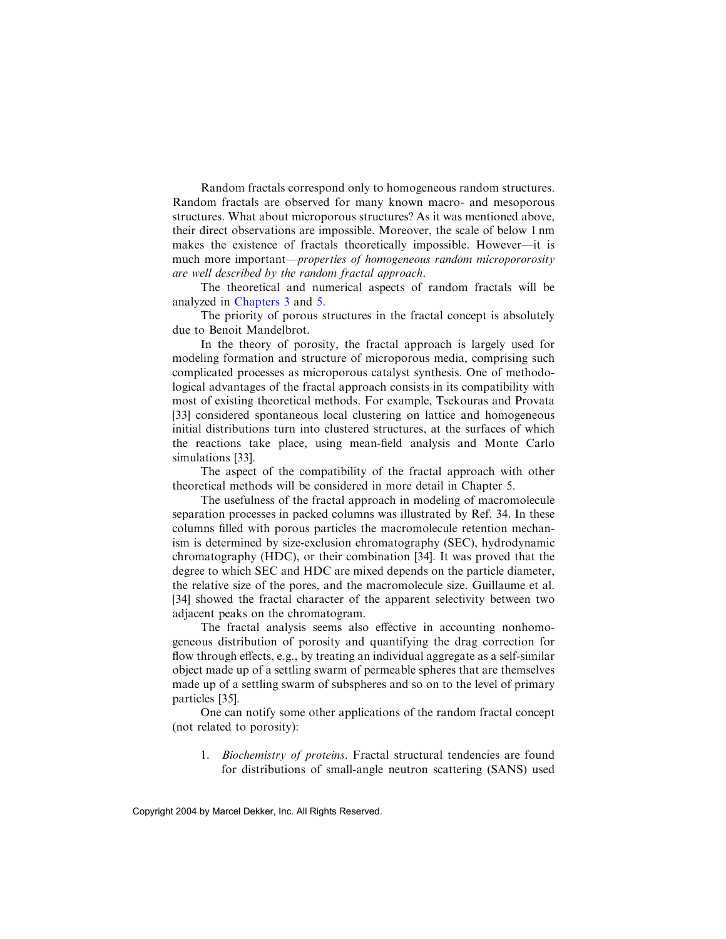Random fractals correspond only to homogeneous random structures. Random fractals are observed for many known macro- and mesoporous structures. What about microporous structures? As it was mentioned above, their direct observations are impossible. Moreover, the scale of below 1 nm makes the existence of fractals theoretically impossible. However—it is much more important—properties of homogeneous random micropororosity are well described by the random fractal approach.

The theoretical and numerical aspects of random fractals will be analyzed in [Chapters 3](#page-0-0) and [5.](#page-0-0)

The priority of porous structures in the fractal concept is absolutely due to Benoit Mandelbrot.

In the theory of porosity, the fractal approach is largely used for modeling formation and structure of microporous media, comprising such complicated processes as microporous catalyst synthesis. One of methodological advantages of the fractal approach consists in its compatibility with most of existing theoretical methods. For example, Tsekouras and Provata [33] considered spontaneous local clustering on lattice and homogeneous initial distributions turn into clustered structures, at the surfaces of which the reactions take place, using mean-field analysis and Monte Carlo simulations [33].

The aspect of the compatibility of the fractal approach with other theoretical methods will be considered in more detail in Chapter 5.

The usefulness of the fractal approach in modeling of macromolecule separation processes in packed columns was illustrated by Ref. 34. In these columns filled with porous particles the macromolecule retention mechanism is determined by size-exclusion chromatography (SEC), hydrodynamic chromatography (HDC), or their combination [34]. It was proved that the degree to which SEC and HDC are mixed depends on the particle diameter, the relative size of the pores, and the macromolecule size. Guillaume et al. [34] showed the fractal character of the apparent selectivity between two adjacent peaks on the chromatogram.

The fractal analysis seems also effective in accounting nonhomogeneous distribution of porosity and quantifying the drag correction for flow through effects, e.g., by treating an individual aggregate as a self-similar object made up of a settling swarm of permeable spheres that are themselves made up of a settling swarm of subspheres and so on to the level of primary particles [35].

One can notify some other applications of the random fractal concept (not related to porosity):

1. *Biochemistry of proteins*. Fractal structural tendencies are found for distributions of small-angle neutron scattering (SANS) used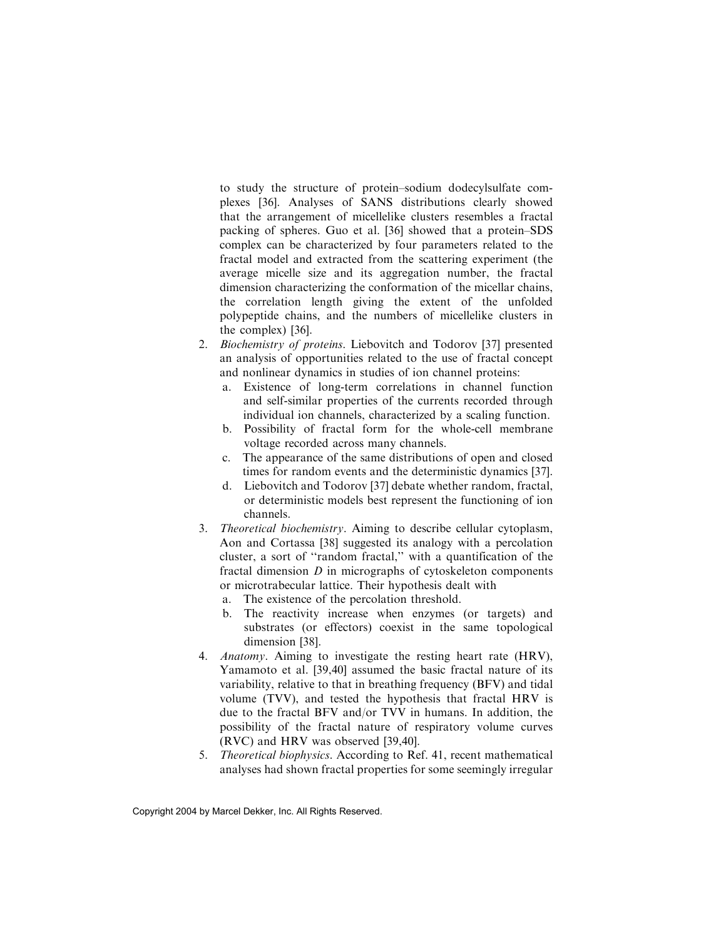to study the structure of protein–sodium dodecylsulfate complexes [36]. Analyses of SANS distributions clearly showed that the arrangement of micellelike clusters resembles a fractal packing of spheres. Guo et al. [36] showed that a protein–SDS complex can be characterized by four parameters related to the fractal model and extracted from the scattering experiment (the average micelle size and its aggregation number, the fractal dimension characterizing the conformation of the micellar chains, the correlation length giving the extent of the unfolded polypeptide chains, and the numbers of micellelike clusters in the complex) [36].

- 2. Biochemistry of proteins. Liebovitch and Todorov [37] presented an analysis of opportunities related to the use of fractal concept and nonlinear dynamics in studies of ion channel proteins:
	- a. Existence of long-term correlations in channel function and self-similar properties of the currents recorded through individual ion channels, characterized by a scaling function.
	- b. Possibility of fractal form for the whole-cell membrane voltage recorded across many channels.
	- c. The appearance of the same distributions of open and closed times for random events and the deterministic dynamics [37].
	- d. Liebovitch and Todorov [37] debate whether random, fractal, or deterministic models best represent the functioning of ion channels.
- 3. Theoretical biochemistry. Aiming to describe cellular cytoplasm, Aon and Cortassa [38] suggested its analogy with a percolation cluster, a sort of ''random fractal,'' with a quantification of the fractal dimension  $D$  in micrographs of cytoskeleton components or microtrabecular lattice. Their hypothesis dealt with
	- a. The existence of the percolation threshold.
	- b. The reactivity increase when enzymes (or targets) and substrates (or effectors) coexist in the same topological dimension [38].
- 4. Anatomy. Aiming to investigate the resting heart rate (HRV), Yamamoto et al. [39,40] assumed the basic fractal nature of its variability, relative to that in breathing frequency (BFV) and tidal volume (TVV), and tested the hypothesis that fractal HRV is due to the fractal BFV and/or TVV in humans. In addition, the possibility of the fractal nature of respiratory volume curves (RVC) and HRV was observed [39,40].
- 5. Theoretical biophysics. According to Ref. 41, recent mathematical analyses had shown fractal properties for some seemingly irregular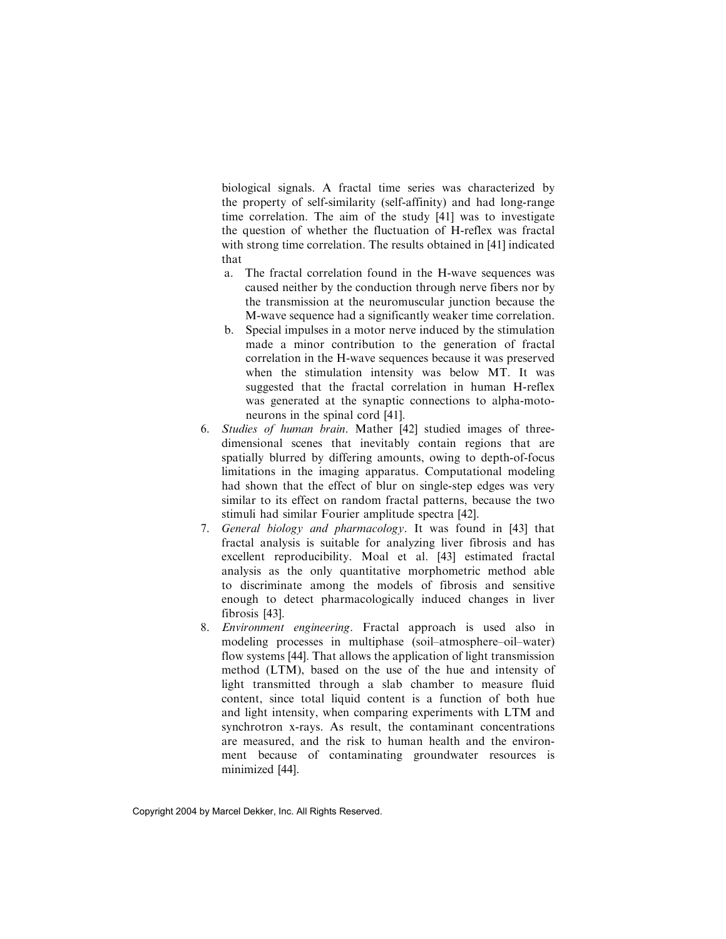biological signals. A fractal time series was characterized by the property of self-similarity (self-affinity) and had long-range time correlation. The aim of the study [41] was to investigate the question of whether the fluctuation of H-reflex was fractal with strong time correlation. The results obtained in [41] indicated that

- a. The fractal correlation found in the H-wave sequences was caused neither by the conduction through nerve fibers nor by the transmission at the neuromuscular junction because the M-wave sequence had a significantly weaker time correlation.
- b. Special impulses in a motor nerve induced by the stimulation made a minor contribution to the generation of fractal correlation in the H-wave sequences because it was preserved when the stimulation intensity was below MT. It was suggested that the fractal correlation in human H-reflex was generated at the synaptic connections to alpha-motoneurons in the spinal cord [41].
- 6. Studies of human brain. Mather [42] studied images of threedimensional scenes that inevitably contain regions that are spatially blurred by differing amounts, owing to depth-of-focus limitations in the imaging apparatus. Computational modeling had shown that the effect of blur on single-step edges was very similar to its effect on random fractal patterns, because the two stimuli had similar Fourier amplitude spectra [42].
- 7. General biology and pharmacology. It was found in [43] that fractal analysis is suitable for analyzing liver fibrosis and has excellent reproducibility. Moal et al. [43] estimated fractal analysis as the only quantitative morphometric method able to discriminate among the models of fibrosis and sensitive enough to detect pharmacologically induced changes in liver fibrosis [43].
- 8. Environment engineering. Fractal approach is used also in modeling processes in multiphase (soil–atmosphere–oil–water) flow systems [44]. That allows the application of light transmission method (LTM), based on the use of the hue and intensity of light transmitted through a slab chamber to measure fluid content, since total liquid content is a function of both hue and light intensity, when comparing experiments with LTM and synchrotron x-rays. As result, the contaminant concentrations are measured, and the risk to human health and the environment because of contaminating groundwater resources is minimized [44].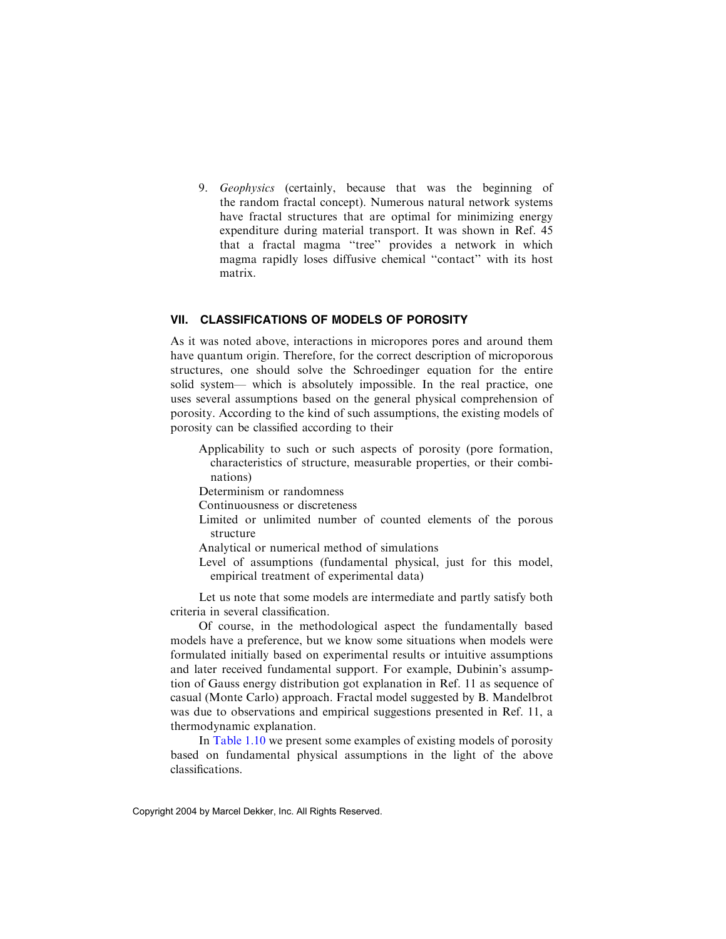9. Geophysics (certainly, because that was the beginning of the random fractal concept). Numerous natural network systems have fractal structures that are optimal for minimizing energy expenditure during material transport. It was shown in Ref. 45 that a fractal magma ''tree'' provides a network in which magma rapidly loses diffusive chemical ''contact'' with its host matrix.

## VII. CLASSIFICATIONS OF MODELS OF POROSITY

As it was noted above, interactions in micropores pores and around them have quantum origin. Therefore, for the correct description of microporous structures, one should solve the Schroedinger equation for the entire solid system— which is absolutely impossible. In the real practice, one uses several assumptions based on the general physical comprehension of porosity. According to the kind of such assumptions, the existing models of porosity can be classified according to their

- Applicability to such or such aspects of porosity (pore formation, characteristics of structure, measurable properties, or their combinations)
- Determinism or randomness
- Continuousness or discreteness
- Limited or unlimited number of counted elements of the porous structure
- Analytical or numerical method of simulations
- Level of assumptions (fundamental physical, just for this model, empirical treatment of experimental data)

Let us note that some models are intermediate and partly satisfy both criteria in several classification.

Of course, in the methodological aspect the fundamentally based models have a preference, but we know some situations when models were formulated initially based on experimental results or intuitive assumptions and later received fundamental support. For example, Dubinin's assumption of Gauss energy distribution got explanation in Ref. 11 as sequence of casual (Monte Carlo) approach. Fractal model suggested by B. Mandelbrot was due to observations and empirical suggestions presented in Ref. 11, a thermodynamic explanation.

In [Table 1.10](#page-35-0) we present some examples of existing models of porosity based on fundamental physical assumptions in the light of the above classifications.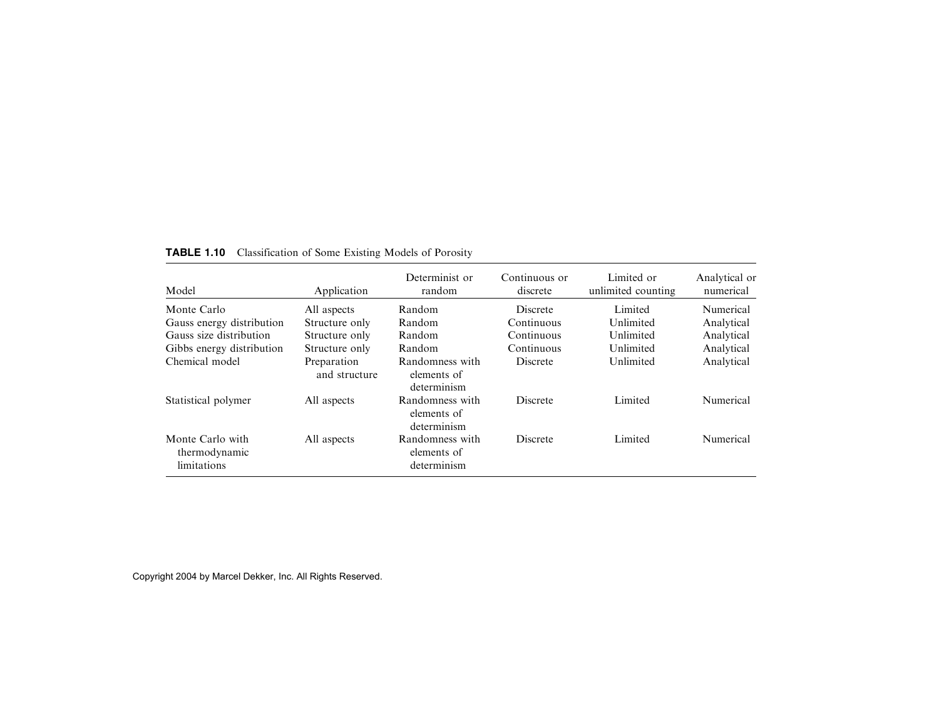| Model                                            | Application                  | Determinist or<br>random                      | Continuous or<br>discrete | Limited or<br>unlimited counting | Analytical or<br>numerical |
|--------------------------------------------------|------------------------------|-----------------------------------------------|---------------------------|----------------------------------|----------------------------|
| Monte Carlo                                      | All aspects                  | Random                                        | <b>Discrete</b>           | Limited                          | Numerical                  |
| Gauss energy distribution                        | Structure only               | Random                                        | Continuous                | Unlimited                        | Analytical                 |
| Gauss size distribution                          | Structure only               | Random                                        | Continuous                | Unlimited                        | Analytical                 |
| Gibbs energy distribution                        | Structure only               | Random                                        | Continuous                | Unlimited                        | Analytical                 |
| Chemical model                                   | Preparation<br>and structure | Randomness with<br>elements of<br>determinism | <b>Discrete</b>           | Unlimited                        | Analytical                 |
| Statistical polymer                              | All aspects                  | Randomness with<br>elements of<br>determinism | <b>Discrete</b>           | Limited                          | Numerical                  |
| Monte Carlo with<br>thermodynamic<br>limitations | All aspects                  | Randomness with<br>elements of<br>determinism | <b>Discrete</b>           | Limited                          | Numerical                  |

#### <span id="page-35-0"></span>**TABLE 1.10** Classification of Some Existing Models of Porosity

Copyright 2004 by Marcel Dekker, Inc. All Rights Reserved.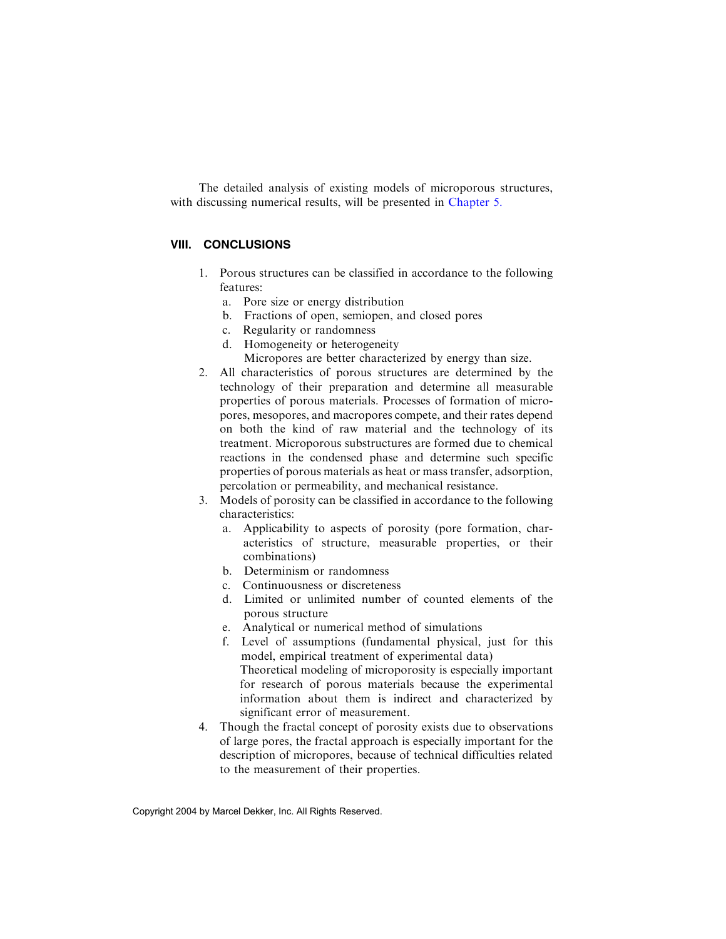The detailed analysis of existing models of microporous structures, with discussing numerical results, will be presented in [Chapter 5.](#page-0-0)

## VIII. CONCLUSIONS

- 1. Porous structures can be classified in accordance to the following features:
	- a. Pore size or energy distribution
	- b. Fractions of open, semiopen, and closed pores
	- c. Regularity or randomness
	- d. Homogeneity or heterogeneity
		- Micropores are better characterized by energy than size.
- 2. All characteristics of porous structures are determined by the technology of their preparation and determine all measurable properties of porous materials. Processes of formation of micropores, mesopores, and macropores compete, and their rates depend on both the kind of raw material and the technology of its treatment. Microporous substructures are formed due to chemical reactions in the condensed phase and determine such specific properties of porous materials as heat or mass transfer, adsorption, percolation or permeability, and mechanical resistance.
- 3. Models of porosity can be classified in accordance to the following characteristics:
	- a. Applicability to aspects of porosity (pore formation, characteristics of structure, measurable properties, or their combinations)
	- b. Determinism or randomness
	- c. Continuousness or discreteness
	- d. Limited or unlimited number of counted elements of the porous structure
	- e. Analytical or numerical method of simulations
	- f. Level of assumptions (fundamental physical, just for this model, empirical treatment of experimental data) Theoretical modeling of microporosity is especially important for research of porous materials because the experimental information about them is indirect and characterized by significant error of measurement.
- 4. Though the fractal concept of porosity exists due to observations of large pores, the fractal approach is especially important for the description of micropores, because of technical difficulties related to the measurement of their properties.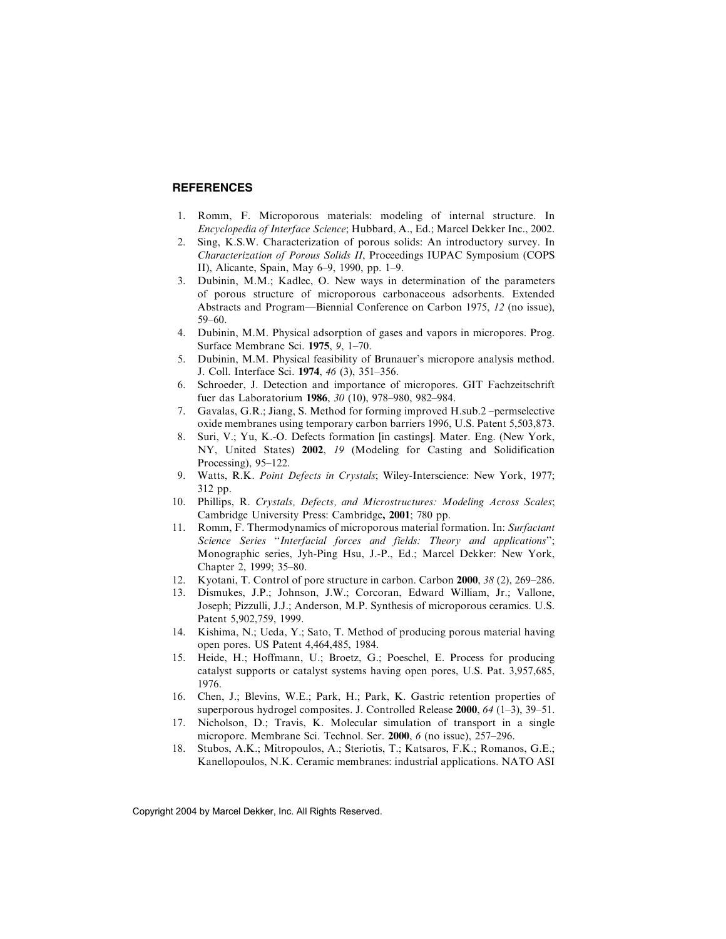## **REFERENCES**

- 1. Romm, F. Microporous materials: modeling of internal structure. In Encyclopedia of Interface Science; Hubbard, A., Ed.; Marcel Dekker Inc., 2002.
- 2. Sing, K.S.W. Characterization of porous solids: An introductory survey. In Characterization of Porous Solids II, Proceedings IUPAC Symposium (COPS II), Alicante, Spain, May 6–9, 1990, pp. 1–9.
- 3. Dubinin, M.M.; Kadlec, O. New ways in determination of the parameters of porous structure of microporous carbonaceous adsorbents. Extended Abstracts and Program—Biennial Conference on Carbon 1975, 12 (no issue), 59–60.
- 4. Dubinin, M.M. Physical adsorption of gases and vapors in micropores. Prog. Surface Membrane Sci. 1975, 9, 1–70.
- 5. Dubinin, M.M. Physical feasibility of Brunauer's micropore analysis method. J. Coll. Interface Sci. 1974, 46 (3), 351–356.
- 6. Schroeder, J. Detection and importance of micropores. GIT Fachzeitschrift fuer das Laboratorium 1986, 30 (10), 978–980, 982–984.
- 7. Gavalas, G.R.; Jiang, S. Method for forming improved H.sub.2 –permselective oxide membranes using temporary carbon barriers 1996, U.S. Patent 5,503,873.
- 8. Suri, V.; Yu, K.-O. Defects formation [in castings]. Mater. Eng. (New York, NY, United States) 2002, 19 (Modeling for Casting and Solidification Processing), 95–122.
- 9. Watts, R.K. Point Defects in Crystals; Wiley-Interscience: New York, 1977; 312 pp.
- 10. Phillips, R. Crystals, Defects, and Microstructures: Modeling Across Scales; Cambridge University Press: Cambridge, 2001; 780 pp.
- 11. Romm, F. Thermodynamics of microporous material formation. In: Surfactant Science Series "Interfacial forces and fields: Theory and applications"; Monographic series, Jyh-Ping Hsu, J.-P., Ed.; Marcel Dekker: New York, Chapter 2, 1999; 35–80.
- 12. Kyotani, T. Control of pore structure in carbon. Carbon 2000, 38 (2), 269–286.
- 13. Dismukes, J.P.; Johnson, J.W.; Corcoran, Edward William, Jr.; Vallone, Joseph; Pizzulli, J.J.; Anderson, M.P. Synthesis of microporous ceramics. U.S. Patent 5,902,759, 1999.
- 14. Kishima, N.; Ueda, Y.; Sato, T. Method of producing porous material having open pores. US Patent 4,464,485, 1984.
- 15. Heide, H.; Hoffmann, U.; Broetz, G.; Poeschel, E. Process for producing catalyst supports or catalyst systems having open pores, U.S. Pat. 3,957,685, 1976.
- 16. Chen, J.; Blevins, W.E.; Park, H.; Park, K. Gastric retention properties of superporous hydrogel composites. J. Controlled Release 2000, 64 (1–3), 39–51.
- 17. Nicholson, D.; Travis, K. Molecular simulation of transport in a single micropore. Membrane Sci. Technol. Ser. 2000, 6 (no issue), 257–296.
- 18. Stubos, A.K.; Mitropoulos, A.; Steriotis, T.; Katsaros, F.K.; Romanos, G.E.; Kanellopoulos, N.K. Ceramic membranes: industrial applications. NATO ASI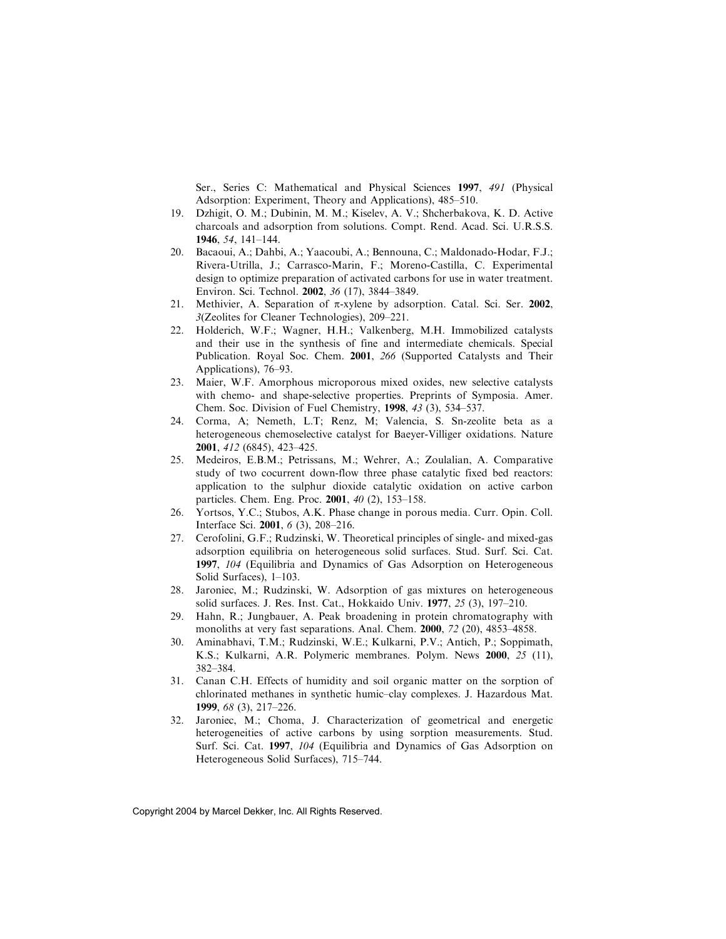Ser., Series C: Mathematical and Physical Sciences 1997, 491 (Physical Adsorption: Experiment, Theory and Applications), 485–510.

- 19. Dzhigit, O. M.; Dubinin, M. M.; Kiselev, A. V.; Shcherbakova, K. D. Active charcoals and adsorption from solutions. Compt. Rend. Acad. Sci. U.R.S.S. 1946, 54, 141–144.
- 20. Bacaoui, A.; Dahbi, A.; Yaacoubi, A.; Bennouna, C.; Maldonado-Hodar, F.J.; Rivera-Utrilla, J.; Carrasco-Marin, F.; Moreno-Castilla, C. Experimental design to optimize preparation of activated carbons for use in water treatment. Environ. Sci. Technol. 2002, 36 (17), 3844–3849.
- 21. Methivier, A. Separation of  $\pi$ -xylene by adsorption. Catal. Sci. Ser. 2002, 3(Zeolites for Cleaner Technologies), 209–221.
- 22. Holderich, W.F.; Wagner, H.H.; Valkenberg, M.H. Immobilized catalysts and their use in the synthesis of fine and intermediate chemicals. Special Publication. Royal Soc. Chem. 2001, 266 (Supported Catalysts and Their Applications), 76–93.
- 23. Maier, W.F. Amorphous microporous mixed oxides, new selective catalysts with chemo- and shape-selective properties. Preprints of Symposia. Amer. Chem. Soc. Division of Fuel Chemistry, 1998, 43 (3), 534–537.
- 24. Corma, A; Nemeth, L.T; Renz, M; Valencia, S. Sn-zeolite beta as a heterogeneous chemoselective catalyst for Baeyer-Villiger oxidations. Nature 2001, 412 (6845), 423–425.
- 25. Medeiros, E.B.M.; Petrissans, M.; Wehrer, A.; Zoulalian, A. Comparative study of two cocurrent down-flow three phase catalytic fixed bed reactors: application to the sulphur dioxide catalytic oxidation on active carbon particles. Chem. Eng. Proc. 2001, 40 (2), 153–158.
- 26. Yortsos, Y.C.; Stubos, A.K. Phase change in porous media. Curr. Opin. Coll. Interface Sci. 2001, 6 (3), 208–216.
- 27. Cerofolini, G.F.; Rudzinski, W. Theoretical principles of single- and mixed-gas adsorption equilibria on heterogeneous solid surfaces. Stud. Surf. Sci. Cat. 1997, 104 (Equilibria and Dynamics of Gas Adsorption on Heterogeneous Solid Surfaces), 1–103.
- 28. Jaroniec, M.; Rudzinski, W. Adsorption of gas mixtures on heterogeneous solid surfaces. J. Res. Inst. Cat., Hokkaido Univ. 1977, 25 (3), 197–210.
- 29. Hahn, R.; Jungbauer, A. Peak broadening in protein chromatography with monoliths at very fast separations. Anal. Chem. 2000, 72 (20), 4853–4858.
- 30. Aminabhavi, T.M.; Rudzinski, W.E.; Kulkarni, P.V.; Antich, P.; Soppimath, K.S.; Kulkarni, A.R. Polymeric membranes. Polym. News 2000, 25 (11), 382–384.
- 31. Canan C.H. Effects of humidity and soil organic matter on the sorption of chlorinated methanes in synthetic humic–clay complexes. J. Hazardous Mat. 1999, 68 (3), 217–226.
- 32. Jaroniec, M.; Choma, J. Characterization of geometrical and energetic heterogeneities of active carbons by using sorption measurements. Stud. Surf. Sci. Cat. 1997, 104 (Equilibria and Dynamics of Gas Adsorption on Heterogeneous Solid Surfaces), 715–744.